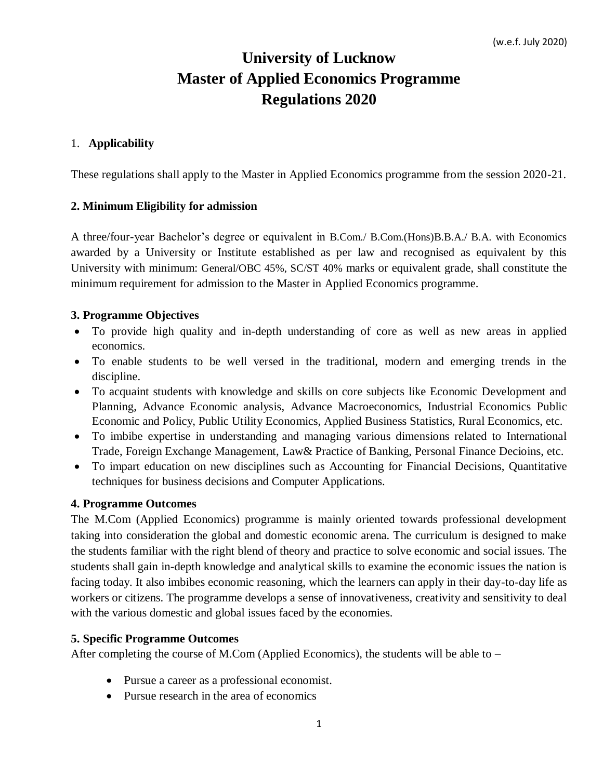# **University of Lucknow Master of Applied Economics Programme Regulations 2020**

### 1. **Applicability**

These regulations shall apply to the Master in Applied Economics programme from the session 2020-21.

### **2. Minimum Eligibility for admission**

A three/four-year Bachelor's degree or equivalent in B.Com./ B.Com.(Hons)B.B.A./ B.A. with Economics awarded by a University or Institute established as per law and recognised as equivalent by this University with minimum: General/OBC 45%, SC/ST 40% marks or equivalent grade, shall constitute the minimum requirement for admission to the Master in Applied Economics programme.

### **3. Programme Objectives**

- To provide high quality and in-depth understanding of core as well as new areas in applied economics.
- To enable students to be well versed in the traditional, modern and emerging trends in the discipline.
- To acquaint students with knowledge and skills on core subjects like Economic Development and Planning, Advance Economic analysis, Advance Macroeconomics, Industrial Economics Public Economic and Policy, Public Utility Economics, Applied Business Statistics, Rural Economics, etc.
- To imbibe expertise in understanding and managing various dimensions related to International Trade, Foreign Exchange Management, Law& Practice of Banking, Personal Finance Decioins, etc.
- To impart education on new disciplines such as Accounting for Financial Decisions, Quantitative techniques for business decisions and Computer Applications.

### **4. Programme Outcomes**

The M.Com (Applied Economics) programme is mainly oriented towards professional development taking into consideration the global and domestic economic arena. The curriculum is designed to make the students familiar with the right blend of theory and practice to solve economic and social issues. The students shall gain in-depth knowledge and analytical skills to examine the economic issues the nation is facing today. It also imbibes economic reasoning, which the learners can apply in their day-to-day life as workers or citizens. The programme develops a sense of innovativeness, creativity and sensitivity to deal with the various domestic and global issues faced by the economies.

### **5. Specific Programme Outcomes**

After completing the course of M.Com (Applied Economics), the students will be able to –

- Pursue a career as a professional economist.
- Pursue research in the area of economics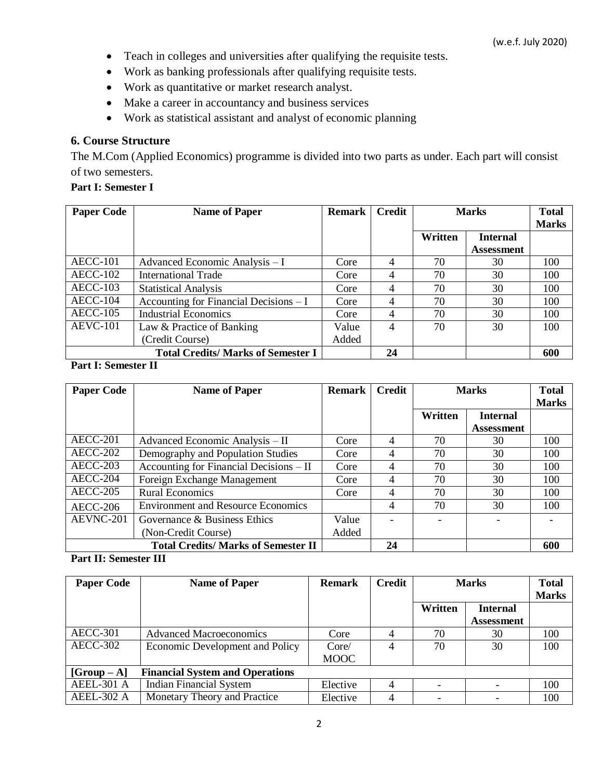- Teach in colleges and universities after qualifying the requisite tests.
- Work as banking professionals after qualifying requisite tests.
- Work as quantitative or market research analyst.
- Make a career in accountancy and business services
- Work as statistical assistant and analyst of economic planning

### **6. Course Structure**

The M.Com (Applied Economics) programme is divided into two parts as under. Each part will consist of two semesters.

### **Part I: Semester I**

| <b>Paper Code</b>                        | <b>Name of Paper</b>                    | <b>Remark</b> | Credit         | <b>Marks</b> |                   | <b>Total</b> |
|------------------------------------------|-----------------------------------------|---------------|----------------|--------------|-------------------|--------------|
|                                          |                                         |               |                |              |                   | <b>Marks</b> |
|                                          |                                         |               |                | Written      | <b>Internal</b>   |              |
|                                          |                                         |               |                |              | <b>Assessment</b> |              |
| <b>AECC-101</b>                          | Advanced Economic Analysis - I          | Core          | 4              | 70           | 30                | 100          |
| <b>AECC-102</b>                          | <b>International Trade</b>              | Core          | $\overline{4}$ | 70           | 30                | 100          |
| $AECC-103$                               | <b>Statistical Analysis</b>             | Core          | 4              | 70           | 30                | 100          |
| $AECC-104$                               | Accounting for Financial Decisions $-I$ | Core          |                | 70           | 30                | 100          |
| $AECC-105$                               | <b>Industrial Economics</b>             | Core          | 4              | 70           | 30                | 100          |
| <b>AEVC-101</b>                          | Law & Practice of Banking               | Value         | 4              | 70           | 30                | 100          |
|                                          | (Credit Course)                         | Added         |                |              |                   |              |
| <b>Total Credits/Marks of Semester I</b> |                                         |               | 24             |              |                   | 600          |

**Part I: Semester II**

| <b>Paper Code</b>             | <b>Name of Paper</b>                      | <b>Remark</b> | <b>Credit</b>  | <b>Marks</b> |                   | <b>Total</b><br><b>Marks</b> |
|-------------------------------|-------------------------------------------|---------------|----------------|--------------|-------------------|------------------------------|
|                               |                                           |               |                | Written      | <b>Internal</b>   |                              |
|                               |                                           |               |                |              | <b>Assessment</b> |                              |
| $AECC-201$                    | Advanced Economic Analysis – II           | Core          | 4              | 70           | 30                | 100                          |
| <b>AECC-202</b>               | Demography and Population Studies         | Core          | 4              | 70           | 30                | 100                          |
| $AECC-203$                    | Accounting for Financial Decisions $-$ II | Core          | 4              | 70           | 30                | 100                          |
| AECC-204                      | Foreign Exchange Management               | Core          | 4              | 70           | 30                | 100                          |
| $\overline{\text{AECC}}$ -205 | <b>Rural Economics</b>                    | Core          | $\overline{4}$ | 70           | 30                | 100                          |
| $AECC-206$                    | <b>Environment and Resource Economics</b> |               | 4              | 70           | 30                | 100                          |
| AEVNC-201                     | Governance & Business Ethics              | Value         |                |              |                   |                              |
|                               | (Non-Credit Course)                       | Added         |                |              |                   |                              |
|                               | <b>Total Credits/Marks of Semester II</b> |               | 24             |              |                   | 600                          |

### **Part II: Semester III**

| <b>Paper Code</b>                                       | <b>Name of Paper</b>            | <b>Remark</b> | Credit         | <b>Marks</b> |                   | <b>Total</b><br><b>Marks</b> |  |
|---------------------------------------------------------|---------------------------------|---------------|----------------|--------------|-------------------|------------------------------|--|
|                                                         |                                 |               |                | Written      | <b>Internal</b>   |                              |  |
|                                                         |                                 |               |                |              | <b>Assessment</b> |                              |  |
| <b>AECC-301</b>                                         | <b>Advanced Macroeconomics</b>  | Core          | $\overline{4}$ | 70           | 30                | 100                          |  |
| AECC-302                                                | Economic Development and Policy | Core/         | 4              | 70           | 30                | 100                          |  |
|                                                         |                                 | <b>MOOC</b>   |                |              |                   |                              |  |
| <b>Financial System and Operations</b><br>$[Group - A]$ |                                 |               |                |              |                   |                              |  |
| <b>AEEL-301 A</b>                                       | <b>Indian Financial System</b>  | Elective      | 4              |              |                   | 100                          |  |
| AEEL-302 A                                              | Monetary Theory and Practice    | Elective      | 4              |              |                   | 100                          |  |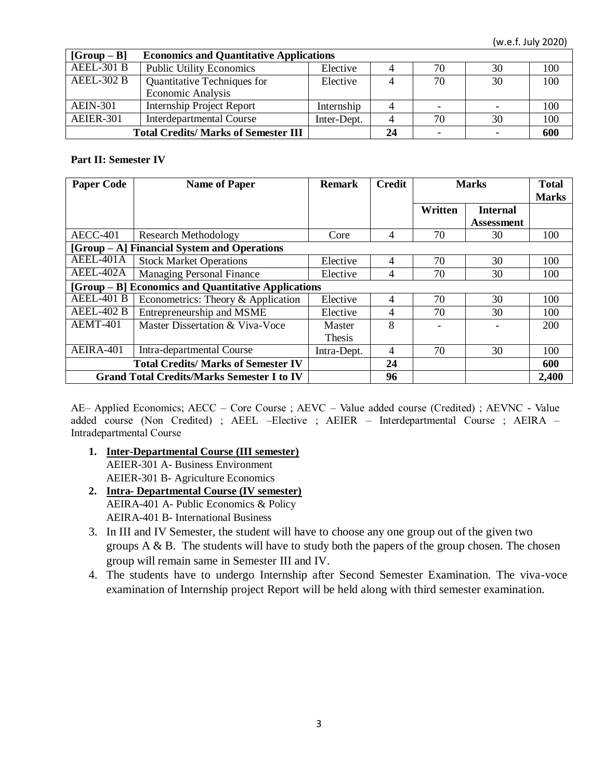(w.e.f. July 2020)

| $[Group - B]$     | <b>Economics and Quantitative Applications</b> |             |    |    |    |     |
|-------------------|------------------------------------------------|-------------|----|----|----|-----|
| <b>AEEL-301 B</b> | <b>Public Utility Economics</b>                | Elective    |    | 70 | 30 | 100 |
| <b>AEEL-302 B</b> | Quantitative Techniques for                    | Elective    |    | 70 | 30 | 100 |
|                   | <b>Economic Analysis</b>                       |             |    |    |    |     |
| <b>AEIN-301</b>   | <b>Internship Project Report</b>               | Internship  | 4  |    |    | 100 |
| <b>AEIER-301</b>  | <b>Interdepartmental Course</b>                | Inter-Dept. | 4  | 70 | 30 | 100 |
|                   | <b>Total Credits/Marks of Semester III</b>     |             | 24 |    |    | 600 |

#### **Part II: Semester IV**

| <b>Paper Code</b>                                 | <b>Name of Paper</b>                                | <b>Remark</b>           | <b>Credit</b>  | <b>Marks</b> |                                      | <b>Total</b><br><b>Marks</b> |  |
|---------------------------------------------------|-----------------------------------------------------|-------------------------|----------------|--------------|--------------------------------------|------------------------------|--|
|                                                   |                                                     |                         |                | Written      | <b>Internal</b><br><b>Assessment</b> |                              |  |
| <b>AECC-401</b>                                   | <b>Research Methodology</b>                         | Core                    | 4              | 70           | 30                                   | 100                          |  |
|                                                   | [Group – A] Financial System and Operations         |                         |                |              |                                      |                              |  |
| AEEL-401A                                         | <b>Stock Market Operations</b>                      | Elective                | 4              | 70           | 30                                   | 100                          |  |
| AEEL-402A                                         | <b>Managing Personal Finance</b>                    | Elective                | 4              | 70           | 30                                   | 100                          |  |
|                                                   | [Group – B] Economics and Quantitative Applications |                         |                |              |                                      |                              |  |
| <b>AEEL-401 B</b>                                 | Econometrics: Theory & Application                  | Elective                | $\overline{4}$ | 70           | 30                                   | 100                          |  |
| <b>AEEL-402 B</b>                                 | Entrepreneurship and MSME                           | Elective                | 4              | 70           | 30                                   | 100                          |  |
| AEMT-401                                          | Master Dissertation & Viva-Voce                     | Master<br><b>Thesis</b> | 8              |              |                                      | 200                          |  |
| AEIRA-401                                         | Intra-departmental Course                           | Intra-Dept.             | 4              | 70           | 30                                   | 100                          |  |
| <b>Total Credits/Marks of Semester IV</b>         |                                                     |                         | 24             |              |                                      | 600                          |  |
| <b>Grand Total Credits/Marks Semester I to IV</b> |                                                     |                         | 96             |              |                                      | 2,400                        |  |

AE– Applied Economics; AECC – Core Course ; AEVC – Value added course (Credited) ; AEVNC - Value added course (Non Credited) ; AEEL –Elective ; AEIER – Interdepartmental Course ; AEIRA – Intradepartmental Course

- **1. Inter-Departmental Course (III semester)** AEIER-301 A- Business Environment AEIER-301 B- Agriculture Economics
- **2. Intra- Departmental Course (IV semester)** AEIRA-401 A- Public Economics & Policy AEIRA-401 B- International Business
- 3. In III and IV Semester, the student will have to choose any one group out of the given two groups  $A \& B$ . The students will have to study both the papers of the group chosen. The chosen group will remain same in Semester III and IV.
- 4. The students have to undergo Internship after Second Semester Examination. The viva-voce examination of Internship project Report will be held along with third semester examination.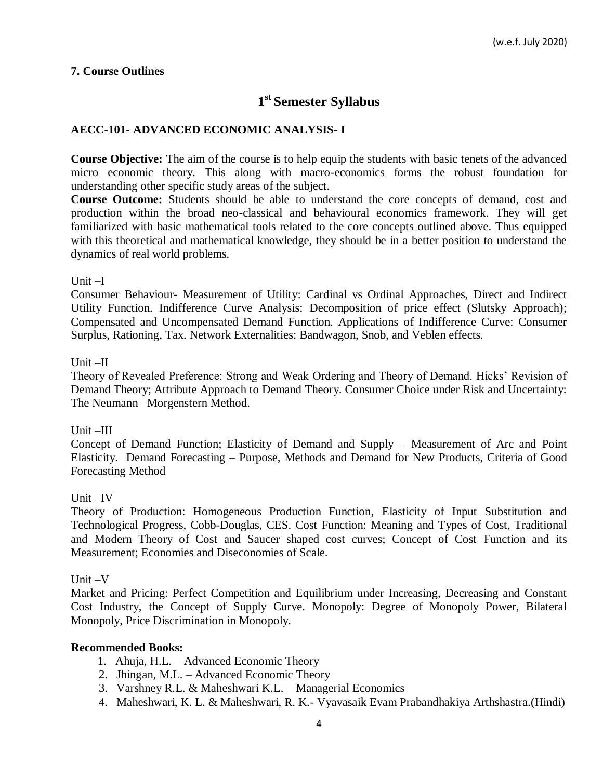### **7. Course Outlines**

# **1 st Semester Syllabus**

## **AECC-101- ADVANCED ECONOMIC ANALYSIS- I**

**Course Objective:** The aim of the course is to help equip the students with basic tenets of the advanced micro economic theory. This along with macro-economics forms the robust foundation for understanding other specific study areas of the subject.

**Course Outcome:** Students should be able to understand the core concepts of demand, cost and production within the broad neo-classical and behavioural economics framework. They will get familiarized with basic mathematical tools related to the core concepts outlined above. Thus equipped with this theoretical and mathematical knowledge, they should be in a better position to understand the dynamics of real world problems.

#### Unit –I

Consumer Behaviour- Measurement of Utility: Cardinal vs Ordinal Approaches, Direct and Indirect Utility Function. Indifference Curve Analysis: Decomposition of price effect (Slutsky Approach); Compensated and Uncompensated Demand Function. Applications of Indifference Curve: Consumer Surplus, Rationing, Tax. Network Externalities: Bandwagon, Snob, and Veblen effects.

#### Unit –II

Theory of Revealed Preference: Strong and Weak Ordering and Theory of Demand. Hicks' Revision of Demand Theory; Attribute Approach to Demand Theory. Consumer Choice under Risk and Uncertainty: The Neumann –Morgenstern Method.

### Unit –III

Concept of Demand Function; Elasticity of Demand and Supply – Measurement of Arc and Point Elasticity. Demand Forecasting – Purpose, Methods and Demand for New Products, Criteria of Good Forecasting Method

### Unit –IV

Theory of Production: Homogeneous Production Function, Elasticity of Input Substitution and Technological Progress, Cobb-Douglas, CES. Cost Function: Meaning and Types of Cost, Traditional and Modern Theory of Cost and Saucer shaped cost curves; Concept of Cost Function and its Measurement; Economies and Diseconomies of Scale.

#### Unit –V

Market and Pricing: Perfect Competition and Equilibrium under Increasing, Decreasing and Constant Cost Industry, the Concept of Supply Curve. Monopoly: Degree of Monopoly Power, Bilateral Monopoly, Price Discrimination in Monopoly.

- 1. Ahuja, H.L. Advanced Economic Theory
- 2. Jhingan, M.L. Advanced Economic Theory
- 3. Varshney R.L. & Maheshwari K.L. Managerial Economics
- 4. Maheshwari, K. L. & Maheshwari, R. K.- Vyavasaik Evam Prabandhakiya Arthshastra.(Hindi)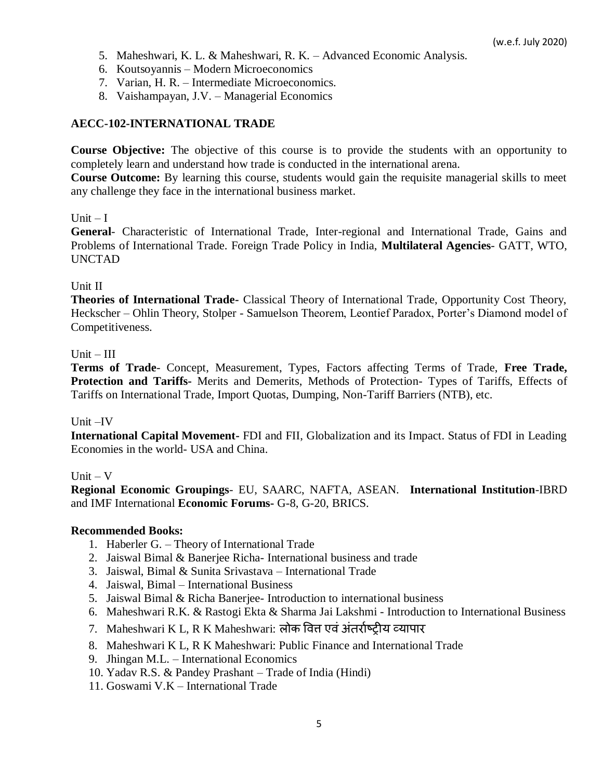- 5. Maheshwari, K. L. & Maheshwari, R. K. Advanced Economic Analysis.
- 6. Koutsoyannis Modern Microeconomics
- 7. Varian, H. R. Intermediate Microeconomics.
- 8. Vaishampayan, J.V. Managerial Economics

#### **AECC-102-INTERNATIONAL TRADE**

**Course Objective:** The objective of this course is to provide the students with an opportunity to completely learn and understand how trade is conducted in the international arena.

**Course Outcome:** By learning this course, students would gain the requisite managerial skills to meet any challenge they face in the international business market.

#### $Unit - I$

**General**- Characteristic of International Trade, Inter-regional and International Trade, Gains and Problems of International Trade. Foreign Trade Policy in India, **Multilateral Agencies**- GATT, WTO, UNCTAD

#### Unit II

**Theories of International Trade-** Classical Theory of International Trade, Opportunity Cost Theory, Heckscher – Ohlin Theory, Stolper - Samuelson Theorem, Leontief Paradox, Porter's Diamond model of Competitiveness.

#### $Unit - III$

**Terms of Trade**- Concept, Measurement, Types, Factors affecting Terms of Trade, **Free Trade, Protection and Tariffs-** Merits and Demerits, Methods of Protection- Types of Tariffs, Effects of Tariffs on International Trade, Import Quotas, Dumping, Non-Tariff Barriers (NTB), etc.

#### Unit –IV

**International Capital Movement-** FDI and FII, Globalization and its Impact. Status of FDI in Leading Economies in the world- USA and China.

#### $Unit - V$

**Regional Economic Groupings**- EU, SAARC, NAFTA, ASEAN. **International Institution**-IBRD and IMF International **Economic Forums-** G-8, G-20, BRICS.

- 1. Haberler G. Theory of International Trade
- 2. Jaiswal Bimal & Banerjee Richa- International business and trade
- 3. Jaiswal, Bimal & Sunita Srivastava International Trade
- 4. Jaiswal, Bimal International Business
- 5. Jaiswal Bimal & Richa Banerjee- Introduction to international business
- 6. Maheshwari R.K. & Rastogi Ekta & Sharma Jai Lakshmi Introduction to International Business
- 7. Maheshwari K L, R K Maheshwari: लोक वित्त एवं अंतर्राष्ट्रीय व्यापार
- 8. Maheshwari K L, R K Maheshwari: Public Finance and International Trade
- 9. Jhingan M.L. International Economics
- 10. Yadav R.S. & Pandey Prashant Trade of India (Hindi)
- 11. Goswami V.K International Trade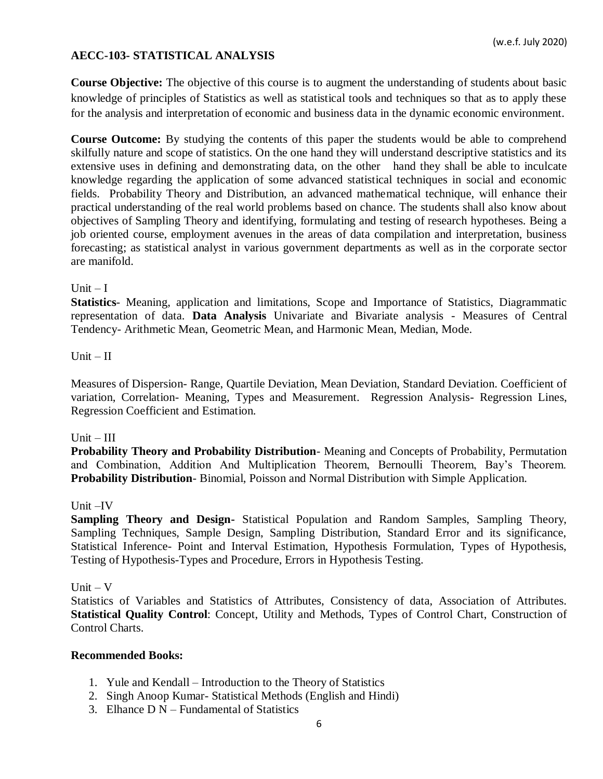## **AECC-103- STATISTICAL ANALYSIS**

**Course Objective:** The objective of this course is to augment the understanding of students about basic knowledge of principles of Statistics as well as statistical tools and techniques so that as to apply these for the analysis and interpretation of economic and business data in the dynamic economic environment.

**Course Outcome:** By studying the contents of this paper the students would be able to comprehend skilfully nature and scope of statistics. On the one hand they will understand descriptive statistics and its extensive uses in defining and demonstrating data, on the other hand they shall be able to inculcate knowledge regarding the application of some advanced statistical techniques in social and economic fields. Probability Theory and Distribution, an advanced mathematical technique, will enhance their practical understanding of the real world problems based on chance. The students shall also know about objectives of Sampling Theory and identifying, formulating and testing of research hypotheses. Being a job oriented course, employment avenues in the areas of data compilation and interpretation, business forecasting; as statistical analyst in various government departments as well as in the corporate sector are manifold.

### Unit  $-I$

**Statistics**- Meaning, application and limitations, Scope and Importance of Statistics, Diagrammatic representation of data. **Data Analysis** Univariate and Bivariate analysis - Measures of Central Tendency- Arithmetic Mean, Geometric Mean, and Harmonic Mean, Median, Mode.

#### $Unit - II$

Measures of Dispersion- Range, Quartile Deviation, Mean Deviation, Standard Deviation. Coefficient of variation, Correlation- Meaning, Types and Measurement. Regression Analysis- Regression Lines, Regression Coefficient and Estimation.

### $Unit - III$

**Probability Theory and Probability Distribution**- Meaning and Concepts of Probability, Permutation and Combination, Addition And Multiplication Theorem, Bernoulli Theorem, Bay's Theorem. **Probability Distribution**- Binomial, Poisson and Normal Distribution with Simple Application.

### Unit –IV

**Sampling Theory and Design-** Statistical Population and Random Samples, Sampling Theory, Sampling Techniques, Sample Design, Sampling Distribution, Standard Error and its significance, Statistical Inference- Point and Interval Estimation, Hypothesis Formulation, Types of Hypothesis, Testing of Hypothesis-Types and Procedure, Errors in Hypothesis Testing.

#### Unit  $-$  V

Statistics of Variables and Statistics of Attributes, Consistency of data, Association of Attributes. **Statistical Quality Control**: Concept, Utility and Methods, Types of Control Chart, Construction of Control Charts.

- 1. Yule and Kendall Introduction to the Theory of Statistics
- 2. Singh Anoop Kumar- Statistical Methods (English and Hindi)
- 3. Elhance  $D N Fundamental of Statistics$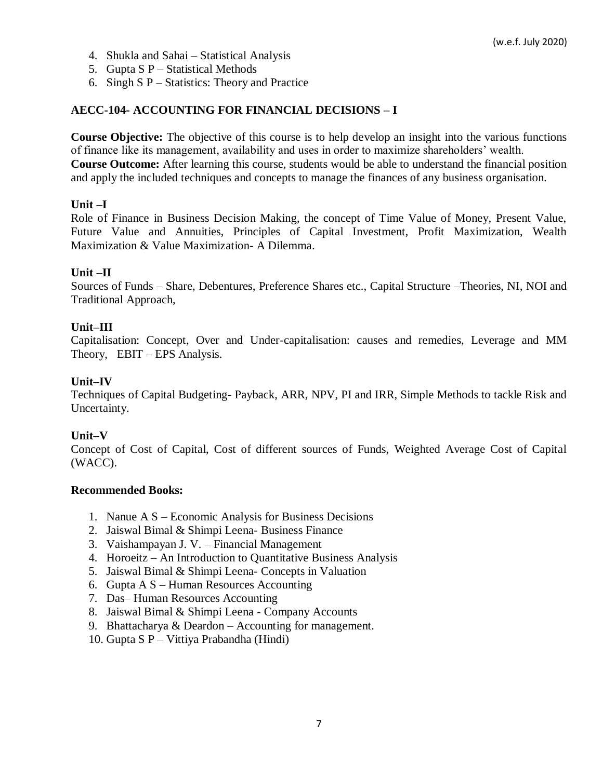- 4. Shukla and Sahai Statistical Analysis
- 5. Gupta  $S \cdot P$  Statistical Methods
- 6. Singh S P Statistics: Theory and Practice

#### **AECC-104- ACCOUNTING FOR FINANCIAL DECISIONS – I**

**Course Objective:** The objective of this course is to help develop an insight into the various functions of finance like its management, availability and uses in order to maximize shareholders' wealth. **Course Outcome:** After learning this course, students would be able to understand the financial position and apply the included techniques and concepts to manage the finances of any business organisation.

#### **Unit –I**

Role of Finance in Business Decision Making, the concept of Time Value of Money, Present Value, Future Value and Annuities, Principles of Capital Investment, Profit Maximization, Wealth Maximization & Value Maximization- A Dilemma.

#### **Unit –II**

Sources of Funds – Share, Debentures, Preference Shares etc., Capital Structure –Theories, NI, NOI and Traditional Approach,

#### **Unit–III**

Capitalisation: Concept, Over and Under-capitalisation: causes and remedies, Leverage and MM Theory, EBIT – EPS Analysis.

#### **Unit–IV**

Techniques of Capital Budgeting- Payback, ARR, NPV, PI and IRR, Simple Methods to tackle Risk and Uncertainty.

#### **Unit–V**

Concept of Cost of Capital, Cost of different sources of Funds, Weighted Average Cost of Capital (WACC).

- 1. Nanue A S Economic Analysis for Business Decisions
- 2. Jaiswal Bimal & Shimpi Leena- Business Finance
- 3. Vaishampayan J. V. Financial Management
- 4. Horoeitz An Introduction to Quantitative Business Analysis
- 5. Jaiswal Bimal & Shimpi Leena- Concepts in Valuation
- 6. Gupta A S Human Resources Accounting
- 7. Das– Human Resources Accounting
- 8. Jaiswal Bimal & Shimpi Leena Company Accounts
- 9. Bhattacharya & Deardon Accounting for management.
- 10. Gupta S P Vittiya Prabandha (Hindi)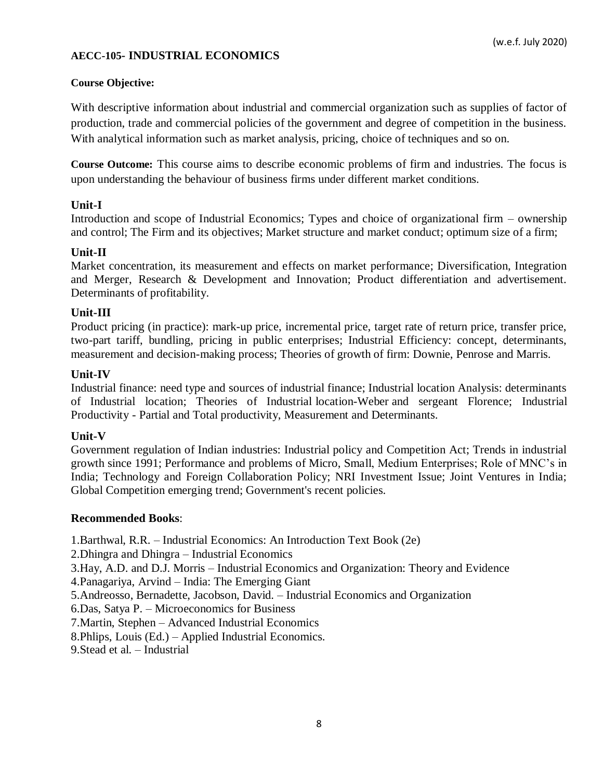### **AECC-105- INDUSTRIAL ECONOMICS**

#### **Course Objective:**

With descriptive information about industrial and commercial organization such as supplies of factor of production, trade and commercial policies of the government and degree of competition in the business. With analytical information such as market analysis, pricing, choice of techniques and so on.

**Course Outcome:** This course aims to describe economic problems of firm and industries. The focus is upon understanding the behaviour of business firms under different market conditions.

### **Unit-I**

Introduction and scope of Industrial Economics; Types and choice of organizational firm – ownership and control; The Firm and its objectives; Market structure and market conduct; optimum size of a firm;

#### **Unit-II**

Market concentration, its measurement and effects on market performance; Diversification, Integration and Merger, Research & Development and Innovation; Product differentiation and advertisement. Determinants of profitability.

#### **Unit-III**

Product pricing (in practice): mark-up price, incremental price, target rate of return price, transfer price, two-part tariff, bundling, pricing in public enterprises; Industrial Efficiency: concept, determinants, measurement and decision-making process; Theories of growth of firm: Downie, Penrose and Marris.

#### **Unit-IV**

Industrial finance: need type and sources of industrial finance; Industrial location Analysis: determinants of Industrial location; Theories of Industrial location-Weber and sergeant Florence; Industrial Productivity - Partial and Total productivity, Measurement and Determinants.

### **Unit-V**

Government regulation of Indian industries: Industrial policy and Competition Act; Trends in industrial growth since 1991; Performance and problems of Micro, Small, Medium Enterprises; Role of MNC's in India; Technology and Foreign Collaboration Policy; NRI Investment Issue; Joint Ventures in India; Global Competition emerging trend; Government's recent policies.

#### **Recommended Books**:

1.Barthwal, R.R. – Industrial Economics: An Introduction Text Book (2e)

2.Dhingra and Dhingra – Industrial Economics

3.Hay, A.D. and D.J. Morris – Industrial Economics and Organization: Theory and Evidence

4.Panagariya, Arvind – India: The Emerging Giant

5.Andreosso, Bernadette, Jacobson, David. – Industrial Economics and Organization

6.Das, Satya P. – Microeconomics for Business

7.Martin, Stephen – Advanced Industrial Economics

8.Phlips, Louis (Ed.) – Applied Industrial Economics.

9.Stead et al. – Industrial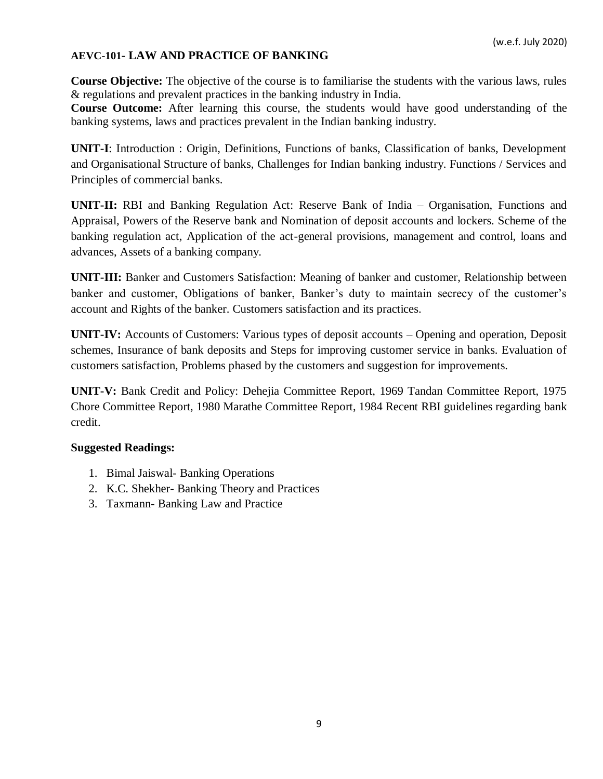### **AEVC-101- LAW AND PRACTICE OF BANKING**

**Course Objective:** The objective of the course is to familiarise the students with the various laws, rules & regulations and prevalent practices in the banking industry in India.

**Course Outcome:** After learning this course, the students would have good understanding of the banking systems, laws and practices prevalent in the Indian banking industry.

**UNIT-I**: Introduction : Origin, Definitions, Functions of banks, Classification of banks, Development and Organisational Structure of banks, Challenges for Indian banking industry. Functions / Services and Principles of commercial banks.

**UNIT-II:** RBI and Banking Regulation Act: Reserve Bank of India – Organisation, Functions and Appraisal, Powers of the Reserve bank and Nomination of deposit accounts and lockers. Scheme of the banking regulation act, Application of the act-general provisions, management and control, loans and advances, Assets of a banking company.

**UNIT-III:** Banker and Customers Satisfaction: Meaning of banker and customer, Relationship between banker and customer, Obligations of banker, Banker's duty to maintain secrecy of the customer's account and Rights of the banker. Customers satisfaction and its practices.

**UNIT-IV:** Accounts of Customers: Various types of deposit accounts – Opening and operation, Deposit schemes, Insurance of bank deposits and Steps for improving customer service in banks. Evaluation of customers satisfaction, Problems phased by the customers and suggestion for improvements.

**UNIT-V:** Bank Credit and Policy: Dehejia Committee Report, 1969 Tandan Committee Report, 1975 Chore Committee Report, 1980 Marathe Committee Report, 1984 Recent RBI guidelines regarding bank credit.

### **Suggested Readings:**

- 1. Bimal Jaiswal- Banking Operations
- 2. K.C. Shekher- Banking Theory and Practices
- 3. Taxmann- Banking Law and Practice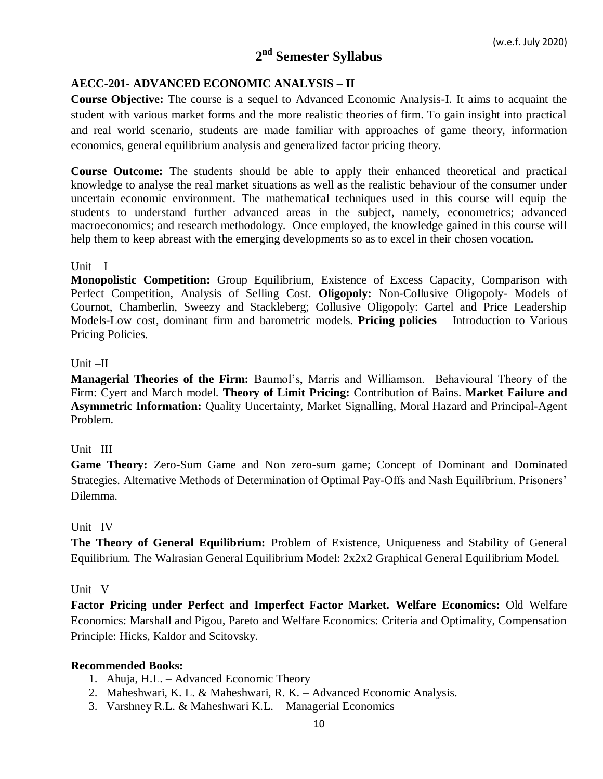# **2 nd Semester Syllabus**

## **AECC-201- ADVANCED ECONOMIC ANALYSIS – II**

**Course Objective:** The course is a sequel to Advanced Economic Analysis-I. It aims to acquaint the student with various market forms and the more realistic theories of firm. To gain insight into practical and real world scenario, students are made familiar with approaches of game theory, information economics, general equilibrium analysis and generalized factor pricing theory.

**Course Outcome:** The students should be able to apply their enhanced theoretical and practical knowledge to analyse the real market situations as well as the realistic behaviour of the consumer under uncertain economic environment. The mathematical techniques used in this course will equip the students to understand further advanced areas in the subject, namely, econometrics; advanced macroeconomics; and research methodology. Once employed, the knowledge gained in this course will help them to keep abreast with the emerging developments so as to excel in their chosen vocation.

### Unit  $-I$

**Monopolistic Competition:** Group Equilibrium, Existence of Excess Capacity, Comparison with Perfect Competition, Analysis of Selling Cost. **Oligopoly:** Non-Collusive Oligopoly- Models of Cournot, Chamberlin, Sweezy and Stackleberg; Collusive Oligopoly: Cartel and Price Leadership Models-Low cost, dominant firm and barometric models. **Pricing policies** – Introduction to Various Pricing Policies.

### Unit –II

**Managerial Theories of the Firm:** Baumol's, Marris and Williamson. Behavioural Theory of the Firm: Cyert and March model. **Theory of Limit Pricing:** Contribution of Bains. **Market Failure and Asymmetric Information:** Quality Uncertainty, Market Signalling, Moral Hazard and Principal-Agent Problem.

## Unit –III

**Game Theory:** Zero-Sum Game and Non zero-sum game; Concept of Dominant and Dominated Strategies. Alternative Methods of Determination of Optimal Pay-Offs and Nash Equilibrium. Prisoners' Dilemma.

### Unit –IV

**The Theory of General Equilibrium:** Problem of Existence, Uniqueness and Stability of General Equilibrium. The Walrasian General Equilibrium Model: 2x2x2 Graphical General Equilibrium Model.

### Unit –V

**Factor Pricing under Perfect and Imperfect Factor Market. Welfare Economics:** Old Welfare Economics: Marshall and Pigou, Pareto and Welfare Economics: Criteria and Optimality, Compensation Principle: Hicks, Kaldor and Scitovsky.

- 1. Ahuja, H.L. Advanced Economic Theory
- 2. Maheshwari, K. L. & Maheshwari, R. K. Advanced Economic Analysis.
- 3. Varshney R.L. & Maheshwari K.L. Managerial Economics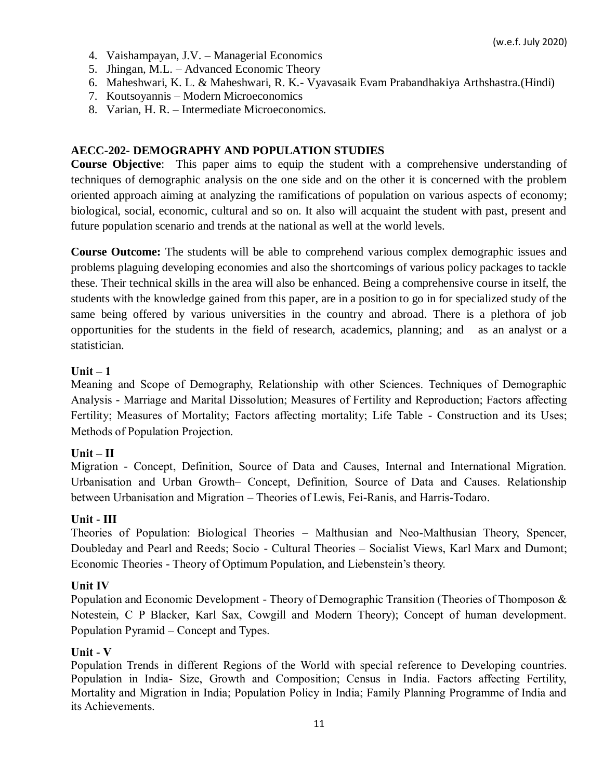- 4. Vaishampayan, J.V. Managerial Economics
- 5. Jhingan, M.L. Advanced Economic Theory
- 6. Maheshwari, K. L. & Maheshwari, R. K.- Vyavasaik Evam Prabandhakiya Arthshastra.(Hindi)
- 7. Koutsoyannis Modern Microeconomics
- 8. Varian, H. R. Intermediate Microeconomics.

## **AECC-202- DEMOGRAPHY AND POPULATION STUDIES**

**Course Objective**: This paper aims to equip the student with a comprehensive understanding of techniques of demographic analysis on the one side and on the other it is concerned with the problem oriented approach aiming at analyzing the ramifications of population on various aspects of economy; biological, social, economic, cultural and so on. It also will acquaint the student with past, present and future population scenario and trends at the national as well at the world levels.

**Course Outcome:** The students will be able to comprehend various complex demographic issues and problems plaguing developing economies and also the shortcomings of various policy packages to tackle these. Their technical skills in the area will also be enhanced. Being a comprehensive course in itself, the students with the knowledge gained from this paper, are in a position to go in for specialized study of the same being offered by various universities in the country and abroad. There is a plethora of job opportunities for the students in the field of research, academics, planning; and as an analyst or a statistician.

## **Unit – 1**

Meaning and Scope of Demography, Relationship with other Sciences. Techniques of Demographic Analysis - Marriage and Marital Dissolution; Measures of Fertility and Reproduction; Factors affecting Fertility; Measures of Mortality; Factors affecting mortality; Life Table - Construction and its Uses; Methods of Population Projection.

## **Unit – II**

Migration - Concept, Definition, Source of Data and Causes, Internal and International Migration. Urbanisation and Urban Growth– Concept, Definition, Source of Data and Causes. Relationship between Urbanisation and Migration – Theories of Lewis, Fei-Ranis, and Harris-Todaro.

## **Unit - III**

Theories of Population: Biological Theories – Malthusian and Neo-Malthusian Theory, Spencer, Doubleday and Pearl and Reeds; Socio - Cultural Theories – Socialist Views, Karl Marx and Dumont; Economic Theories - Theory of Optimum Population, and Liebenstein's theory.

## **Unit IV**

Population and Economic Development - Theory of Demographic Transition (Theories of Thomposon & Notestein, C P Blacker, Karl Sax, Cowgill and Modern Theory); Concept of human development. Population Pyramid – Concept and Types.

## **Unit - V**

Population Trends in different Regions of the World with special reference to Developing countries. Population in India- Size, Growth and Composition; Census in India. Factors affecting Fertility, Mortality and Migration in India; Population Policy in India; Family Planning Programme of India and its Achievements.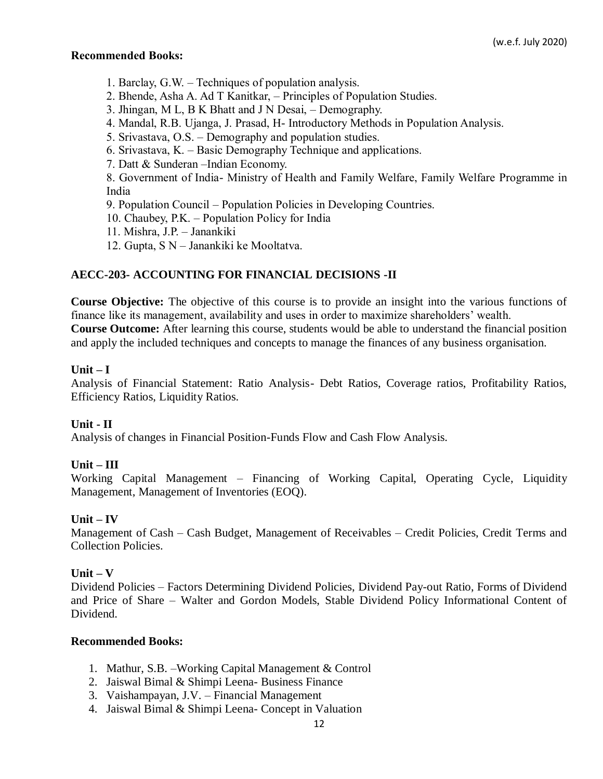### **Recommended Books:**

- 1. Barclay, G.W. Techniques of population analysis.
- 2. Bhende, Asha A. Ad T Kanitkar, Principles of Population Studies.
- 3. Jhingan, M L, B K Bhatt and J N Desai, Demography.
- 4. Mandal, R.B. Ujanga, J. Prasad, H- Introductory Methods in Population Analysis.
- 5. Srivastava, O.S. Demography and population studies.
- 6. Srivastava, K. Basic Demography Technique and applications.
- 7. Datt & Sunderan –Indian Economy.

8. Government of India- Ministry of Health and Family Welfare, Family Welfare Programme in India

- 9. Population Council Population Policies in Developing Countries.
- 10. Chaubey, P.K. Population Policy for India
- 11. Mishra, J.P. Janankiki
- 12. Gupta, S N Janankiki ke Mooltatva.

## **AECC-203- ACCOUNTING FOR FINANCIAL DECISIONS -II**

**Course Objective:** The objective of this course is to provide an insight into the various functions of finance like its management, availability and uses in order to maximize shareholders' wealth. **Course Outcome:** After learning this course, students would be able to understand the financial position and apply the included techniques and concepts to manage the finances of any business organisation.

## **Unit – I**

Analysis of Financial Statement: Ratio Analysis- Debt Ratios, Coverage ratios, Profitability Ratios, Efficiency Ratios, Liquidity Ratios.

## **Unit - II**

Analysis of changes in Financial Position-Funds Flow and Cash Flow Analysis.

## **Unit – III**

Working Capital Management – Financing of Working Capital, Operating Cycle, Liquidity Management, Management of Inventories (EOQ).

## **Unit – IV**

Management of Cash – Cash Budget, Management of Receivables – Credit Policies, Credit Terms and Collection Policies.

## **Unit – V**

Dividend Policies – Factors Determining Dividend Policies, Dividend Pay-out Ratio, Forms of Dividend and Price of Share – Walter and Gordon Models, Stable Dividend Policy Informational Content of Dividend.

- 1. Mathur, S.B. –Working Capital Management & Control
- 2. Jaiswal Bimal & Shimpi Leena- Business Finance
- 3. Vaishampayan, J.V. Financial Management
- 4. Jaiswal Bimal & Shimpi Leena- Concept in Valuation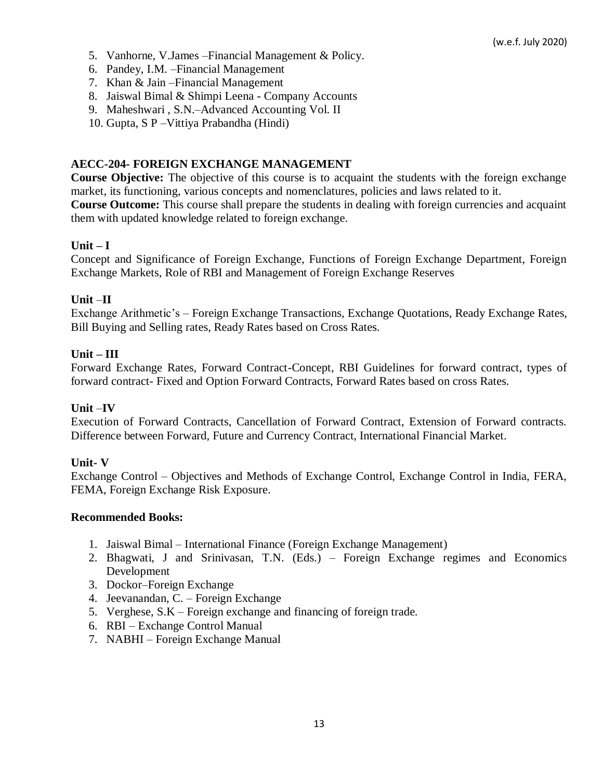- 5. Vanhorne, V.James –Financial Management & Policy.
- 6. Pandey, I.M. –Financial Management
- 7. Khan & Jain –Financial Management
- 8. Jaiswal Bimal & Shimpi Leena Company Accounts
- 9. Maheshwari , S.N.–Advanced Accounting Vol. II
- 10. Gupta, S P –Vittiya Prabandha (Hindi)

### **AECC-204- FOREIGN EXCHANGE MANAGEMENT**

**Course Objective:** The objective of this course is to acquaint the students with the foreign exchange market, its functioning, various concepts and nomenclatures, policies and laws related to it. **Course Outcome:** This course shall prepare the students in dealing with foreign currencies and acquaint them with updated knowledge related to foreign exchange.

### **Unit – I**

Concept and Significance of Foreign Exchange, Functions of Foreign Exchange Department, Foreign Exchange Markets, Role of RBI and Management of Foreign Exchange Reserves

### **Unit** –**II**

Exchange Arithmetic's – Foreign Exchange Transactions, Exchange Quotations, Ready Exchange Rates, Bill Buying and Selling rates, Ready Rates based on Cross Rates.

### **Unit – III**

Forward Exchange Rates, Forward Contract-Concept, RBI Guidelines for forward contract, types of forward contract- Fixed and Option Forward Contracts, Forward Rates based on cross Rates.

### **Unit** –**IV**

Execution of Forward Contracts, Cancellation of Forward Contract, Extension of Forward contracts. Difference between Forward, Future and Currency Contract, International Financial Market.

### **Unit- V**

Exchange Control – Objectives and Methods of Exchange Control, Exchange Control in India, FERA, FEMA, Foreign Exchange Risk Exposure.

- 1. Jaiswal Bimal International Finance (Foreign Exchange Management)
- 2. Bhagwati, J and Srinivasan, T.N. (Eds.) Foreign Exchange regimes and Economics Development
- 3. Dockor–Foreign Exchange
- 4. Jeevanandan, C. Foreign Exchange
- 5. Verghese, S.K Foreign exchange and financing of foreign trade.
- 6. RBI Exchange Control Manual
- 7. NABHI Foreign Exchange Manual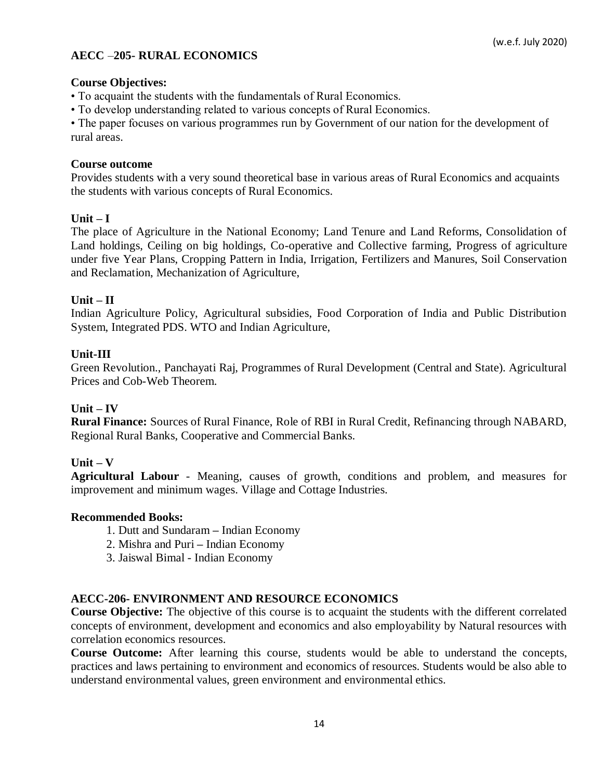## **AECC** –**205- RURAL ECONOMICS**

#### **Course Objectives:**

• To acquaint the students with the fundamentals of Rural Economics.

• To develop understanding related to various concepts of Rural Economics.

• The paper focuses on various programmes run by Government of our nation for the development of rural areas.

### **Course outcome**

Provides students with a very sound theoretical base in various areas of Rural Economics and acquaints the students with various concepts of Rural Economics.

### **Unit – I**

The place of Agriculture in the National Economy; Land Tenure and Land Reforms, Consolidation of Land holdings, Ceiling on big holdings, Co-operative and Collective farming, Progress of agriculture under five Year Plans, Cropping Pattern in India, Irrigation, Fertilizers and Manures, Soil Conservation and Reclamation, Mechanization of Agriculture,

#### **Unit – II**

Indian Agriculture Policy, Agricultural subsidies, Food Corporation of India and Public Distribution System, Integrated PDS. WTO and Indian Agriculture,

#### **Unit-III**

Green Revolution., Panchayati Raj, Programmes of Rural Development (Central and State). Agricultural Prices and Cob-Web Theorem.

#### **Unit – IV**

**Rural Finance:** Sources of Rural Finance, Role of RBI in Rural Credit, Refinancing through NABARD, Regional Rural Banks, Cooperative and Commercial Banks.

### **Unit – V**

**Agricultural Labour** - Meaning, causes of growth, conditions and problem, and measures for improvement and minimum wages. Village and Cottage Industries.

#### **Recommended Books:**

- 1. Dutt and Sundaram **–** Indian Economy
- 2. Mishra and Puri **–** Indian Economy
- 3. Jaiswal Bimal Indian Economy

#### **AECC-206- ENVIRONMENT AND RESOURCE ECONOMICS**

**Course Objective:** The objective of this course is to acquaint the students with the different correlated concepts of environment, development and economics and also employability by Natural resources with correlation economics resources.

**Course Outcome:** After learning this course, students would be able to understand the concepts, practices and laws pertaining to environment and economics of resources. Students would be also able to understand environmental values, green environment and environmental ethics.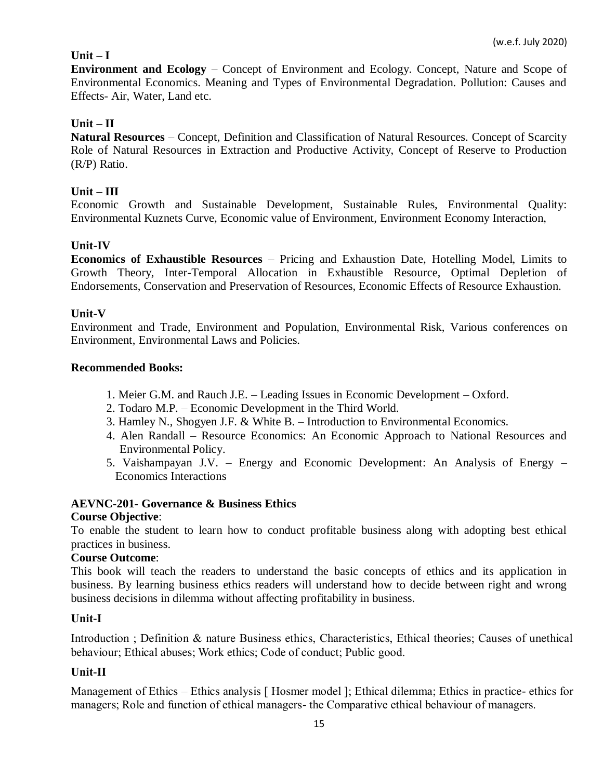## $Unit - I$

**Environment and Ecology** – Concept of Environment and Ecology. Concept, Nature and Scope of Environmental Economics. Meaning and Types of Environmental Degradation. Pollution: Causes and Effects- Air, Water, Land etc.

## **Unit – II**

**Natural Resources** – Concept, Definition and Classification of Natural Resources. Concept of Scarcity Role of Natural Resources in Extraction and Productive Activity, Concept of Reserve to Production (R/P) Ratio.

### **Unit – III**

Economic Growth and Sustainable Development, Sustainable Rules, Environmental Quality: Environmental Kuznets Curve, Economic value of Environment, Environment Economy Interaction,

#### **Unit-IV**

**Economics of Exhaustible Resources** – Pricing and Exhaustion Date, Hotelling Model, Limits to Growth Theory, Inter-Temporal Allocation in Exhaustible Resource, Optimal Depletion of Endorsements, Conservation and Preservation of Resources, Economic Effects of Resource Exhaustion.

#### **Unit-V**

Environment and Trade, Environment and Population, Environmental Risk, Various conferences on Environment, Environmental Laws and Policies.

#### **Recommended Books:**

- 1. Meier G.M. and Rauch J.E. Leading Issues in Economic Development Oxford.
- 2. Todaro M.P. Economic Development in the Third World.
- 3. Hamley N., Shogyen J.F. & White B. Introduction to Environmental Economics.
- 4. Alen Randall Resource Economics: An Economic Approach to National Resources and Environmental Policy.
- 5. Vaishampayan J.V. Energy and Economic Development: An Analysis of Energy Economics Interactions

### **AEVNC-201- Governance & Business Ethics**

#### **Course Objective**:

To enable the student to learn how to conduct profitable business along with adopting best ethical practices in business.

### **Course Outcome**:

This book will teach the readers to understand the basic concepts of ethics and its application in business. By learning business ethics readers will understand how to decide between right and wrong business decisions in dilemma without affecting profitability in business.

#### **Unit-I**

Introduction ; Definition & nature Business ethics, Characteristics, Ethical theories; Causes of unethical behaviour; Ethical abuses; Work ethics; Code of conduct; Public good.

### **Unit-II**

Management of Ethics – Ethics analysis [Hosmer model]; Ethical dilemma; Ethics in practice- ethics for managers; Role and function of ethical managers- the Comparative ethical behaviour of managers.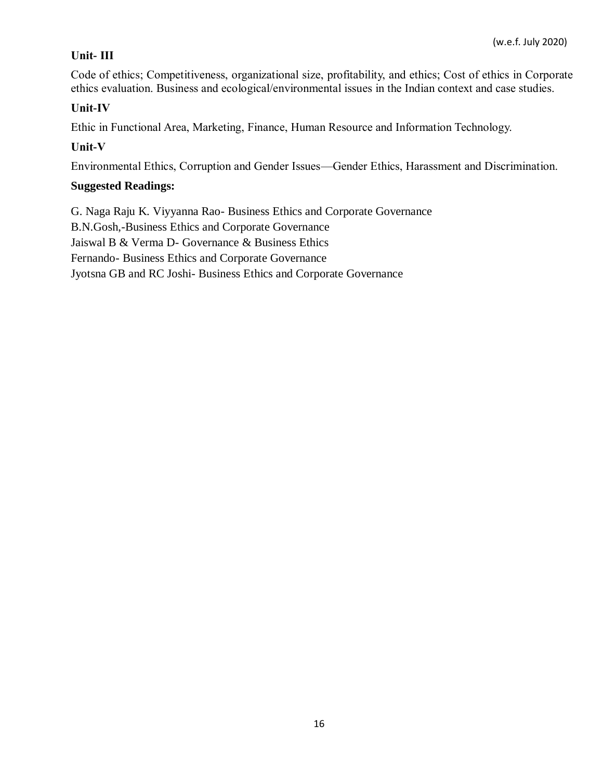## **Unit- III**

Code of ethics; Competitiveness, organizational size, profitability, and ethics; Cost of ethics in Corporate ethics evaluation. Business and ecological/environmental issues in the Indian context and case studies.

## **Unit-IV**

Ethic in Functional Area, Marketing, Finance, Human Resource and Information Technology.

## **Unit-V**

Environmental Ethics, Corruption and Gender Issues—Gender Ethics, Harassment and Discrimination.

## **Suggested Readings:**

G. Naga Raju K. Viyyanna Rao- Business Ethics and Corporate Governance B.N.Gosh,-Business Ethics and Corporate Governance Jaiswal B & Verma D- Governance & Business Ethics Fernando- Business Ethics and Corporate Governance Jyotsna GB and RC Joshi- Business Ethics and Corporate Governance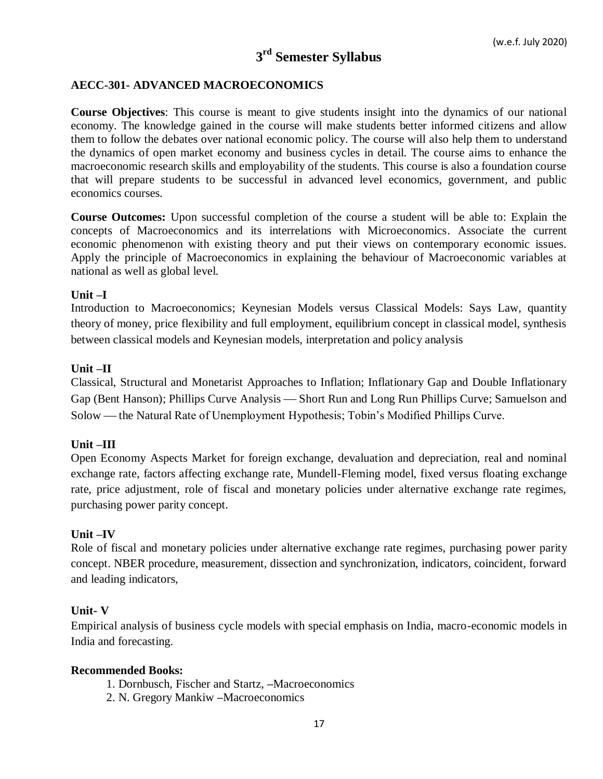# **3 rd Semester Syllabus**

### **AECC-301- ADVANCED MACROECONOMICS**

**Course Objectives**: This course is meant to give students insight into the dynamics of our national economy. The knowledge gained in the course will make students better informed citizens and allow them to follow the debates over national economic policy. The course will also help them to understand the dynamics of open market economy and business cycles in detail. The course aims to enhance the macroeconomic research skills and employability of the students. This course is also a foundation course that will prepare students to be successful in advanced level economics, government, and public economics courses.

**Course Outcomes:** Upon successful completion of the course a student will be able to: Explain the concepts of Macroeconomics and its interrelations with Microeconomics. Associate the current economic phenomenon with existing theory and put their views on contemporary economic issues. Apply the principle of Macroeconomics in explaining the behaviour of Macroeconomic variables at national as well as global level.

#### **Unit –I**

Introduction to Macroeconomics; Keynesian Models versus Classical Models: Says Law, quantity theory of money, price flexibility and full employment, equilibrium concept in classical model, synthesis between classical models and Keynesian models, interpretation and policy analysis

#### **Unit –II**

Classical, Structural and Monetarist Approaches to Inflation; Inflationary Gap and Double Inflationary Gap (Bent Hanson); Phillips Curve Analysis — Short Run and Long Run Phillips Curve; Samuelson and Solow — the Natural Rate of Unemployment Hypothesis; Tobin's Modified Phillips Curve.

### **Unit –III**

Open Economy Aspects Market for foreign exchange, devaluation and depreciation, real and nominal exchange rate, factors affecting exchange rate, Mundell-Fleming model, fixed versus floating exchange rate, price adjustment, role of fiscal and monetary policies under alternative exchange rate regimes, purchasing power parity concept.

#### **Unit –IV**

Role of fiscal and monetary policies under alternative exchange rate regimes, purchasing power parity concept. NBER procedure, measurement, dissection and synchronization, indicators, coincident, forward and leading indicators,

#### **Unit- V**

Empirical analysis of business cycle models with special emphasis on India, macro-economic models in India and forecasting.

- 1. Dornbusch, Fischer and Startz, **–**Macroeconomics
- 2. N. Gregory Mankiw **–**Macroeconomics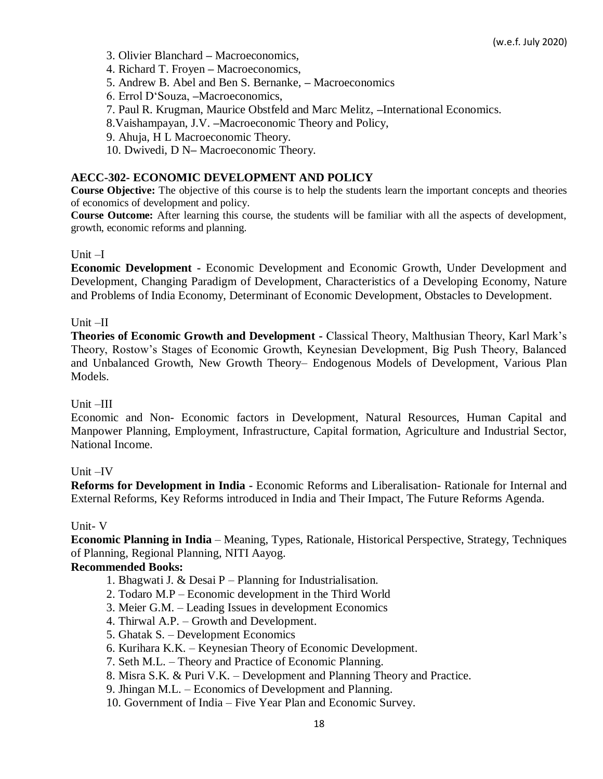- 3. Olivier Blanchard **–** Macroeconomics,
- 4. Richard T. Froyen **–** Macroeconomics,
- 5. Andrew B. Abel and Ben S. Bernanke, **–** Macroeconomics
- 6. Errol D'Souza, **–**Macroeconomics,
- 7. Paul R. Krugman, Maurice Obstfeld and Marc Melitz, **–**International Economics.
- 8.Vaishampayan, J.V. **–**Macroeconomic Theory and Policy,
- 9. Ahuja, H L Macroeconomic Theory.
- 10. Dwivedi, D N**–** Macroeconomic Theory.

### **AECC-302- ECONOMIC DEVELOPMENT AND POLICY**

**Course Objective:** The objective of this course is to help the students learn the important concepts and theories of economics of development and policy.

**Course Outcome:** After learning this course, the students will be familiar with all the aspects of development, growth, economic reforms and planning.

### Unit –I

**Economic Development -** Economic Development and Economic Growth, Under Development and Development, Changing Paradigm of Development, Characteristics of a Developing Economy, Nature and Problems of India Economy, Determinant of Economic Development, Obstacles to Development.

### Unit –II

**Theories of Economic Growth and Development -** Classical Theory, Malthusian Theory, Karl Mark's Theory, Rostow's Stages of Economic Growth, Keynesian Development, Big Push Theory, Balanced and Unbalanced Growth, New Growth Theory– Endogenous Models of Development, Various Plan Models.

### Unit –III

Economic and Non- Economic factors in Development, Natural Resources, Human Capital and Manpower Planning, Employment, Infrastructure, Capital formation, Agriculture and Industrial Sector, National Income.

### Unit –IV

**Reforms for Development in India -** Economic Reforms and Liberalisation- Rationale for Internal and External Reforms, Key Reforms introduced in India and Their Impact, The Future Reforms Agenda.

### Unit- V

**Economic Planning in India** – Meaning, Types, Rationale, Historical Perspective, Strategy, Techniques of Planning, Regional Planning, NITI Aayog.

- 1. Bhagwati J. & Desai P Planning for Industrialisation.
- 2. Todaro M.P Economic development in the Third World
- 3. Meier G.M. Leading Issues in development Economics
- 4. Thirwal A.P. Growth and Development.
- 5. Ghatak S. Development Economics
- 6. Kurihara K.K. Keynesian Theory of Economic Development.
- 7. Seth M.L. Theory and Practice of Economic Planning.
- 8. Misra S.K. & Puri V.K. Development and Planning Theory and Practice.
- 9. Jhingan M.L. Economics of Development and Planning.
- 10. Government of India Five Year Plan and Economic Survey.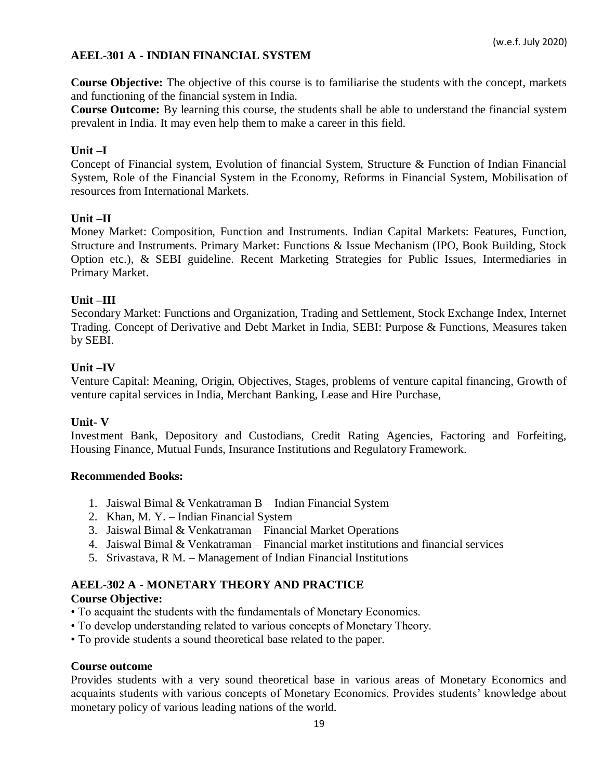## **AEEL-301 A - INDIAN FINANCIAL SYSTEM**

**Course Objective:** The objective of this course is to familiarise the students with the concept, markets and functioning of the financial system in India.

**Course Outcome:** By learning this course, the students shall be able to understand the financial system prevalent in India. It may even help them to make a career in this field.

#### **Unit –I**

Concept of Financial system, Evolution of financial System, Structure & Function of Indian Financial System, Role of the Financial System in the Economy, Reforms in Financial System, Mobilisation of resources from International Markets.

### **Unit –II**

Money Market: Composition, Function and Instruments. Indian Capital Markets: Features, Function, Structure and Instruments. Primary Market: Functions & Issue Mechanism (IPO, Book Building, Stock Option etc.), & SEBI guideline. Recent Marketing Strategies for Public Issues, Intermediaries in Primary Market.

#### **Unit –III**

Secondary Market: Functions and Organization, Trading and Settlement, Stock Exchange Index, Internet Trading. Concept of Derivative and Debt Market in India, SEBI: Purpose & Functions, Measures taken by SEBI.

#### **Unit –IV**

Venture Capital: Meaning, Origin, Objectives, Stages, problems of venture capital financing, Growth of venture capital services in India, Merchant Banking, Lease and Hire Purchase,

### **Unit- V**

Investment Bank, Depository and Custodians, Credit Rating Agencies, Factoring and Forfeiting, Housing Finance, Mutual Funds, Insurance Institutions and Regulatory Framework.

#### **Recommended Books:**

- 1. Jaiswal Bimal & Venkatraman B Indian Financial System
- 2. Khan, M. Y. Indian Financial System
- 3. Jaiswal Bimal & Venkatraman Financial Market Operations
- 4. Jaiswal Bimal & Venkatraman Financial market institutions and financial services
- 5. Srivastava, R M. Management of Indian Financial Institutions

### **AEEL-302 A - MONETARY THEORY AND PRACTICE**

### **Course Objective:**

- To acquaint the students with the fundamentals of Monetary Economics.
- To develop understanding related to various concepts of Monetary Theory.
- To provide students a sound theoretical base related to the paper.

#### **Course outcome**

Provides students with a very sound theoretical base in various areas of Monetary Economics and acquaints students with various concepts of Monetary Economics. Provides students' knowledge about monetary policy of various leading nations of the world.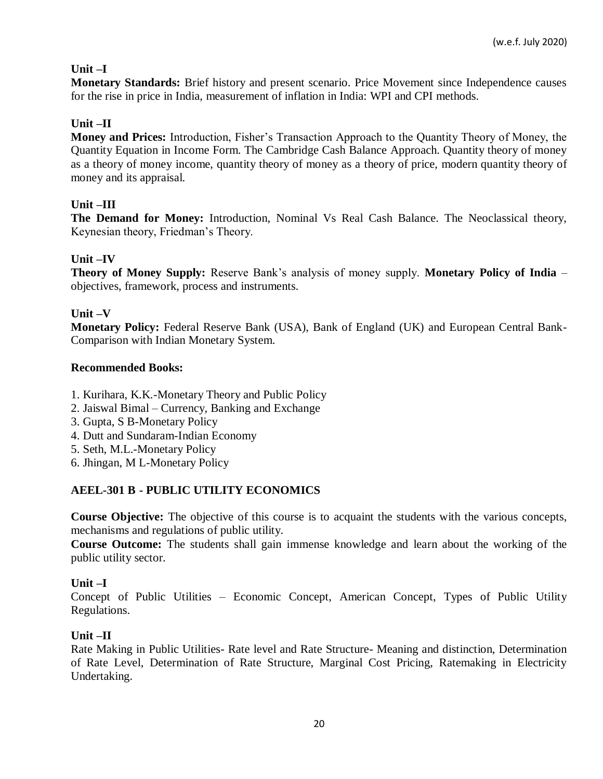## **Unit –I**

**Monetary Standards:** Brief history and present scenario. Price Movement since Independence causes for the rise in price in India, measurement of inflation in India: WPI and CPI methods.

## **Unit –II**

**Money and Prices:** Introduction, Fisher's Transaction Approach to the Quantity Theory of Money, the Quantity Equation in Income Form. The Cambridge Cash Balance Approach. Quantity theory of money as a theory of money income, quantity theory of money as a theory of price, modern quantity theory of money and its appraisal.

## **Unit –III**

**The Demand for Money:** Introduction, Nominal Vs Real Cash Balance. The Neoclassical theory, Keynesian theory, Friedman's Theory.

### **Unit –IV**

**Theory of Money Supply:** Reserve Bank's analysis of money supply. **Monetary Policy of India** – objectives, framework, process and instruments.

### **Unit –V**

**Monetary Policy:** Federal Reserve Bank (USA), Bank of England (UK) and European Central Bank-Comparison with Indian Monetary System.

### **Recommended Books:**

- 1. Kurihara, K.K.-Monetary Theory and Public Policy
- 2. Jaiswal Bimal Currency, Banking and Exchange
- 3. Gupta, S B-Monetary Policy
- 4. Dutt and Sundaram-Indian Economy
- 5. Seth, M.L.-Monetary Policy
- 6. Jhingan, M L-Monetary Policy

## **AEEL-301 B - PUBLIC UTILITY ECONOMICS**

**Course Objective:** The objective of this course is to acquaint the students with the various concepts, mechanisms and regulations of public utility.

**Course Outcome:** The students shall gain immense knowledge and learn about the working of the public utility sector.

### **Unit –I**

Concept of Public Utilities – Economic Concept, American Concept, Types of Public Utility Regulations.

### **Unit –II**

Rate Making in Public Utilities- Rate level and Rate Structure- Meaning and distinction, Determination of Rate Level, Determination of Rate Structure, Marginal Cost Pricing, Ratemaking in Electricity Undertaking.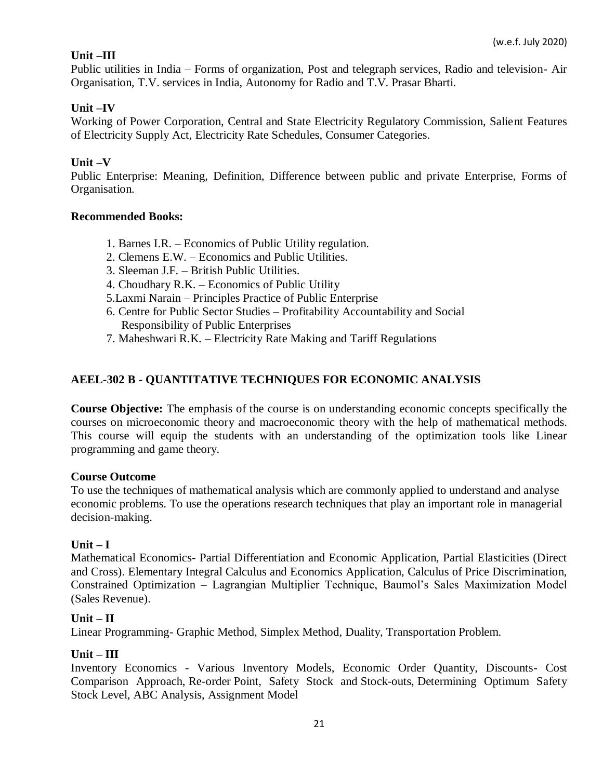## **Unit –III**

Public utilities in India – Forms of organization, Post and telegraph services, Radio and television- Air Organisation, T.V. services in India, Autonomy for Radio and T.V. Prasar Bharti.

## **Unit –IV**

Working of Power Corporation, Central and State Electricity Regulatory Commission, Salient Features of Electricity Supply Act, Electricity Rate Schedules, Consumer Categories.

### **Unit –V**

Public Enterprise: Meaning, Definition, Difference between public and private Enterprise, Forms of Organisation.

### **Recommended Books:**

- 1. Barnes I.R. Economics of Public Utility regulation.
- 2. Clemens E.W. Economics and Public Utilities.
- 3. Sleeman J.F. British Public Utilities.
- 4. Choudhary R.K. Economics of Public Utility
- 5.Laxmi Narain Principles Practice of Public Enterprise
- 6. Centre for Public Sector Studies Profitability Accountability and Social Responsibility of Public Enterprises
- 7. Maheshwari R.K. Electricity Rate Making and Tariff Regulations

### **AEEL-302 B - QUANTITATIVE TECHNIQUES FOR ECONOMIC ANALYSIS**

**Course Objective:** The emphasis of the course is on understanding economic concepts specifically the courses on microeconomic theory and macroeconomic theory with the help of mathematical methods. This course will equip the students with an understanding of the optimization tools like Linear programming and game theory.

### **Course Outcome**

To use the techniques of mathematical analysis which are commonly applied to understand and analyse economic problems. To use the operations research techniques that play an important role in managerial decision-making.

### **Unit – I**

Mathematical Economics- Partial Differentiation and Economic Application, Partial Elasticities (Direct and Cross). Elementary Integral Calculus and Economics Application, Calculus of Price Discrimination, Constrained Optimization – Lagrangian Multiplier Technique, Baumol's Sales Maximization Model (Sales Revenue).

### **Unit – II**

Linear Programming- Graphic Method, Simplex Method, Duality, Transportation Problem.

### **Unit – III**

Inventory Economics - Various Inventory Models, Economic Order Quantity, Discounts- Cost Comparison Approach, Re-order Point, Safety Stock and Stock-outs, Determining Optimum Safety Stock Level, ABC Analysis, Assignment Model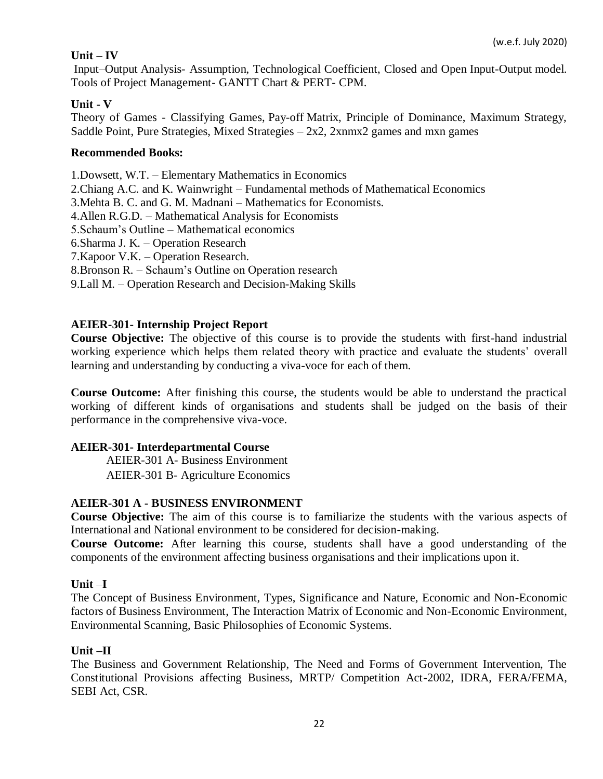## **Unit – IV**

Input–Output Analysis- Assumption, Technological Coefficient, Closed and Open Input-Output model. Tools of Project Management- GANTT Chart & PERT- CPM.

### **Unit - V**

Theory of Games - Classifying Games, Pay-off Matrix, Principle of Dominance, Maximum Strategy, Saddle Point, Pure Strategies, Mixed Strategies  $-2x^2$ , 2xnmx2 games and mxn games

### **Recommended Books:**

1.Dowsett, W.T. – Elementary Mathematics in Economics

2.Chiang A.C. and K. Wainwright – Fundamental methods of Mathematical Economics

3.Mehta B. C. and G. M. Madnani – Mathematics for Economists.

4.Allen R.G.D. – Mathematical Analysis for Economists

5.Schaum's Outline – Mathematical economics

6.Sharma J. K. – Operation Research

7.Kapoor V.K. – Operation Research.

8.Bronson R. – Schaum's Outline on Operation research

9.Lall M. – Operation Research and Decision-Making Skills

### **AEIER-301- Internship Project Report**

**Course Objective:** The objective of this course is to provide the students with first-hand industrial working experience which helps them related theory with practice and evaluate the students' overall learning and understanding by conducting a viva-voce for each of them.

**Course Outcome:** After finishing this course, the students would be able to understand the practical working of different kinds of organisations and students shall be judged on the basis of their performance in the comprehensive viva-voce.

### **AEIER-301- Interdepartmental Course**

AEIER-301 A- Business Environment AEIER-301 B- Agriculture Economics

## **AEIER-301 A - BUSINESS ENVIRONMENT**

**Course Objective:** The aim of this course is to familiarize the students with the various aspects of International and National environment to be considered for decision-making.

**Course Outcome:** After learning this course, students shall have a good understanding of the components of the environment affecting business organisations and their implications upon it.

### **Unit** –**I**

The Concept of Business Environment, Types, Significance and Nature, Economic and Non-Economic factors of Business Environment, The Interaction Matrix of Economic and Non-Economic Environment, Environmental Scanning, Basic Philosophies of Economic Systems.

### **Unit –II**

The Business and Government Relationship, The Need and Forms of Government Intervention, The Constitutional Provisions affecting Business, MRTP/ Competition Act-2002, IDRA, FERA/FEMA, SEBI Act, CSR.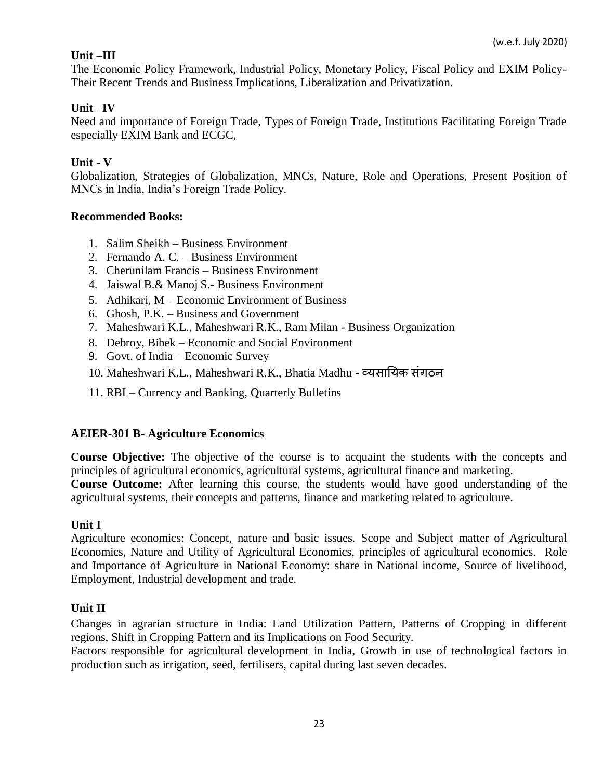## **Unit –III**

The Economic Policy Framework, Industrial Policy, Monetary Policy, Fiscal Policy and EXIM Policy-Their Recent Trends and Business Implications, Liberalization and Privatization.

## **Unit** –**IV**

Need and importance of Foreign Trade, Types of Foreign Trade, Institutions Facilitating Foreign Trade especially EXIM Bank and ECGC,

## **Unit - V**

Globalization, Strategies of Globalization, MNCs, Nature, Role and Operations, Present Position of MNCs in India, India's Foreign Trade Policy.

### **Recommended Books:**

- 1. Salim Sheikh Business Environment
- 2. Fernando A. C. Business Environment
- 3. Cherunilam Francis Business Environment
- 4. Jaiswal B.& Manoj S.- Business Environment
- 5. Adhikari, M Economic Environment of Business
- 6. Ghosh, P.K. Business and Government
- 7. Maheshwari K.L., Maheshwari R.K., Ram Milan Business Organization
- 8. Debroy, Bibek Economic and Social Environment
- 9. Govt. of India Economic Survey
- 10. Maheshwari K.L., Maheshwari R.K., Bhatia Madhu व्यसरययक संगठन
- 11. RBI Currency and Banking, Quarterly Bulletins

## **AEIER-301 B- Agriculture Economics**

**Course Objective:** The objective of the course is to acquaint the students with the concepts and principles of agricultural economics, agricultural systems, agricultural finance and marketing. **Course Outcome:** After learning this course, the students would have good understanding of the agricultural systems, their concepts and patterns, finance and marketing related to agriculture.

## **Unit I**

Agriculture economics: Concept, nature and basic issues. Scope and Subject matter of Agricultural Economics, Nature and Utility of Agricultural Economics, principles of agricultural economics. Role and Importance of Agriculture in National Economy: share in National income, Source of livelihood, Employment, Industrial development and trade.

## **Unit II**

Changes in agrarian structure in India: Land Utilization Pattern, Patterns of Cropping in different regions, Shift in Cropping Pattern and its Implications on Food Security.

Factors responsible for agricultural development in India, Growth in use of technological factors in production such as irrigation, seed, fertilisers, capital during last seven decades.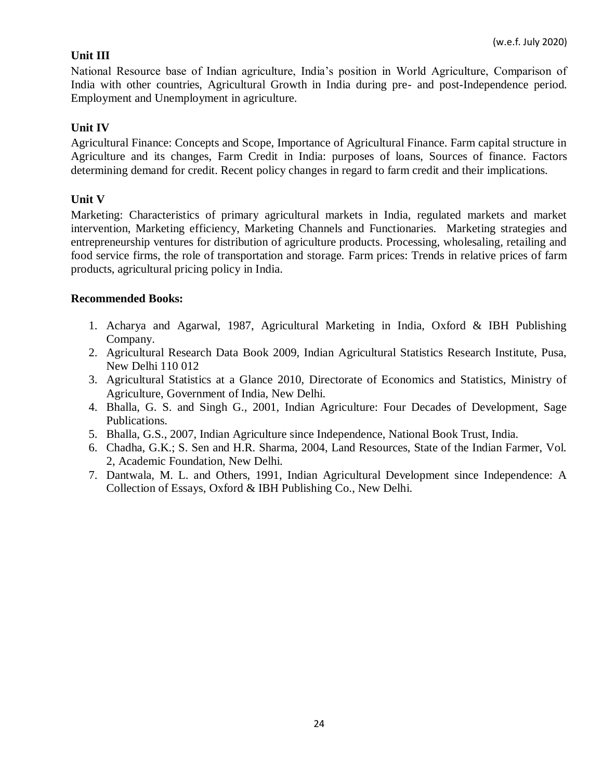## **Unit III**

National Resource base of Indian agriculture, India's position in World Agriculture, Comparison of India with other countries, Agricultural Growth in India during pre- and post-Independence period. Employment and Unemployment in agriculture.

## **Unit IV**

Agricultural Finance: Concepts and Scope, Importance of Agricultural Finance. Farm capital structure in Agriculture and its changes, Farm Credit in India: purposes of loans, Sources of finance. Factors determining demand for credit. Recent policy changes in regard to farm credit and their implications.

## **Unit V**

Marketing: Characteristics of primary agricultural markets in India, regulated markets and market intervention, Marketing efficiency, Marketing Channels and Functionaries. Marketing strategies and entrepreneurship ventures for distribution of agriculture products. Processing, wholesaling, retailing and food service firms, the role of transportation and storage. Farm prices: Trends in relative prices of farm products, agricultural pricing policy in India.

- 1. Acharya and Agarwal, 1987, Agricultural Marketing in India, Oxford & IBH Publishing Company.
- 2. Agricultural Research Data Book 2009, Indian Agricultural Statistics Research Institute, Pusa, New Delhi 110 012
- 3. Agricultural Statistics at a Glance 2010, Directorate of Economics and Statistics, Ministry of Agriculture, Government of India, New Delhi.
- 4. Bhalla, G. S. and Singh G., 2001, Indian Agriculture: Four Decades of Development, Sage Publications.
- 5. Bhalla, G.S., 2007, Indian Agriculture since Independence, National Book Trust, India.
- 6. Chadha, G.K.; S. Sen and H.R. Sharma, 2004, Land Resources, State of the Indian Farmer, Vol. 2, Academic Foundation, New Delhi.
- 7. Dantwala, M. L. and Others, 1991, Indian Agricultural Development since Independence: A Collection of Essays, Oxford & IBH Publishing Co., New Delhi.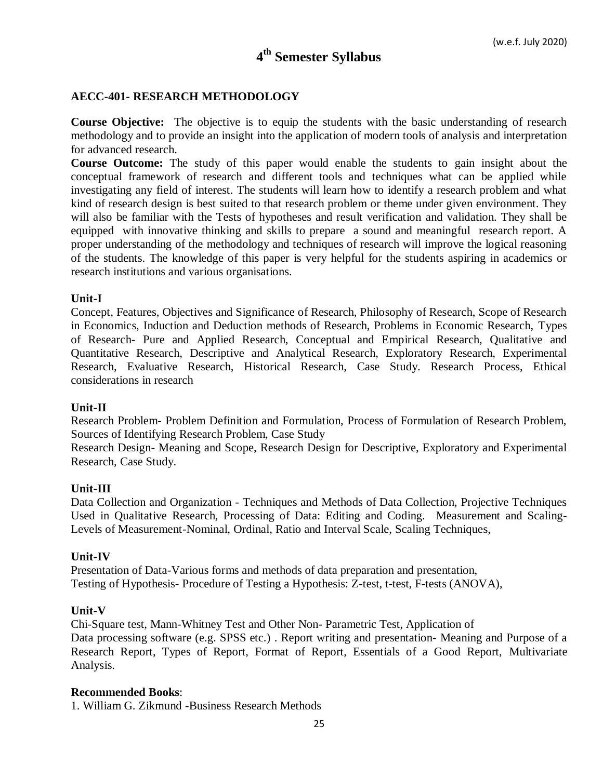# **4 th Semester Syllabus**

#### **AECC-401- RESEARCH METHODOLOGY**

**Course Objective:** The objective is to equip the students with the basic understanding of research methodology and to provide an insight into the application of modern tools of analysis and interpretation for advanced research.

**Course Outcome:** The study of this paper would enable the students to gain insight about the conceptual framework of research and different tools and techniques what can be applied while investigating any field of interest. The students will learn how to identify a research problem and what kind of research design is best suited to that research problem or theme under given environment. They will also be familiar with the Tests of hypotheses and result verification and validation. They shall be equipped with innovative thinking and skills to prepare a sound and meaningful research report. A proper understanding of the methodology and techniques of research will improve the logical reasoning of the students. The knowledge of this paper is very helpful for the students aspiring in academics or research institutions and various organisations.

#### **Unit-I**

Concept, Features, Objectives and Significance of Research, Philosophy of Research, Scope of Research in Economics, Induction and Deduction methods of Research, Problems in Economic Research, Types of Research- Pure and Applied Research, Conceptual and Empirical Research, Qualitative and Quantitative Research, Descriptive and Analytical Research, Exploratory Research, Experimental Research, Evaluative Research, Historical Research, Case Study. Research Process, Ethical considerations in research

#### **Unit-II**

Research Problem- Problem Definition and Formulation, Process of Formulation of Research Problem, Sources of Identifying Research Problem, Case Study

Research Design- Meaning and Scope, Research Design for Descriptive, Exploratory and Experimental Research, Case Study.

#### **Unit-III**

Data Collection and Organization - Techniques and Methods of Data Collection, Projective Techniques Used in Qualitative Research, Processing of Data: Editing and Coding. Measurement and Scaling-Levels of Measurement-Nominal, Ordinal, Ratio and Interval Scale, Scaling Techniques,

#### **Unit-IV**

Presentation of Data-Various forms and methods of data preparation and presentation, Testing of Hypothesis- Procedure of Testing a Hypothesis: Z-test, t-test, F-tests (ANOVA),

#### **Unit-V**

Chi-Square test, Mann-Whitney Test and Other Non- Parametric Test, Application of Data processing software (e.g. SPSS etc.) . Report writing and presentation- Meaning and Purpose of a Research Report, Types of Report, Format of Report, Essentials of a Good Report, Multivariate Analysis.

#### **Recommended Books**:

1. William G. Zikmund -Business Research Methods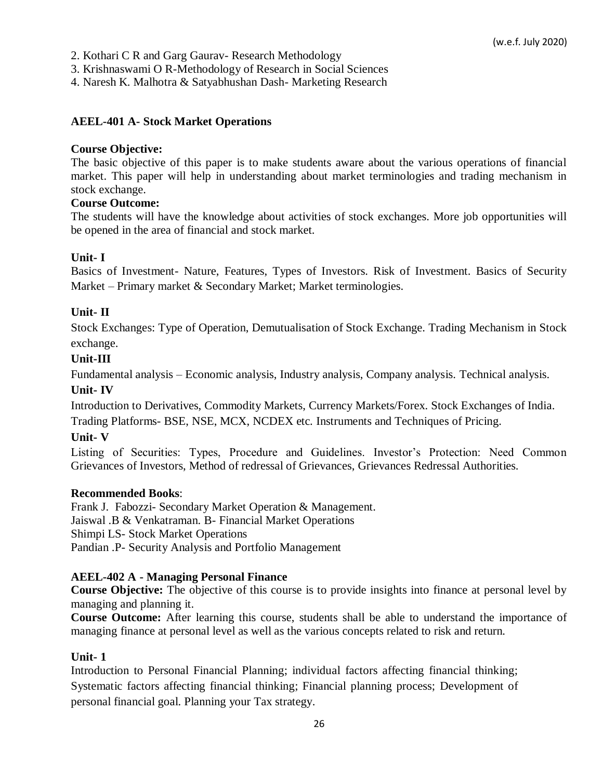2. Kothari C R and Garg Gaurav- Research Methodology

3. Krishnaswami O R-Methodology of Research in Social Sciences

4. Naresh K. Malhotra & Satyabhushan Dash- Marketing Research

### **AEEL-401 A- Stock Market Operations**

### **Course Objective:**

The basic objective of this paper is to make students aware about the various operations of financial market. This paper will help in understanding about market terminologies and trading mechanism in stock exchange.

### **Course Outcome:**

The students will have the knowledge about activities of stock exchanges. More job opportunities will be opened in the area of financial and stock market.

### **Unit- I**

Basics of Investment- Nature, Features, Types of Investors. Risk of Investment. Basics of Security Market – Primary market & Secondary Market; Market terminologies.

### **Unit- II**

Stock Exchanges: Type of Operation, Demutualisation of Stock Exchange. Trading Mechanism in Stock exchange.

### **Unit-III**

Fundamental analysis – Economic analysis, Industry analysis, Company analysis. Technical analysis.

## **Unit- IV**

Introduction to Derivatives, Commodity Markets, Currency Markets/Forex. Stock Exchanges of India.

Trading Platforms- BSE, NSE, MCX, NCDEX etc. Instruments and Techniques of Pricing.

### **Unit- V**

Listing of Securities: Types, Procedure and Guidelines. Investor's Protection: Need Common Grievances of Investors, Method of redressal of Grievances, Grievances Redressal Authorities.

### **Recommended Books**:

Frank J. Fabozzi- Secondary Market Operation & Management. Jaiswal .B & Venkatraman. B- Financial Market Operations Shimpi LS- Stock Market Operations Pandian .P- Security Analysis and Portfolio Management

### **AEEL-402 A - Managing Personal Finance**

**Course Objective:** The objective of this course is to provide insights into finance at personal level by managing and planning it.

**Course Outcome:** After learning this course, students shall be able to understand the importance of managing finance at personal level as well as the various concepts related to risk and return.

### **Unit- 1**

Introduction to Personal Financial Planning; individual factors affecting financial thinking; Systematic factors affecting financial thinking; Financial planning process; Development of personal financial goal. Planning your Tax strategy.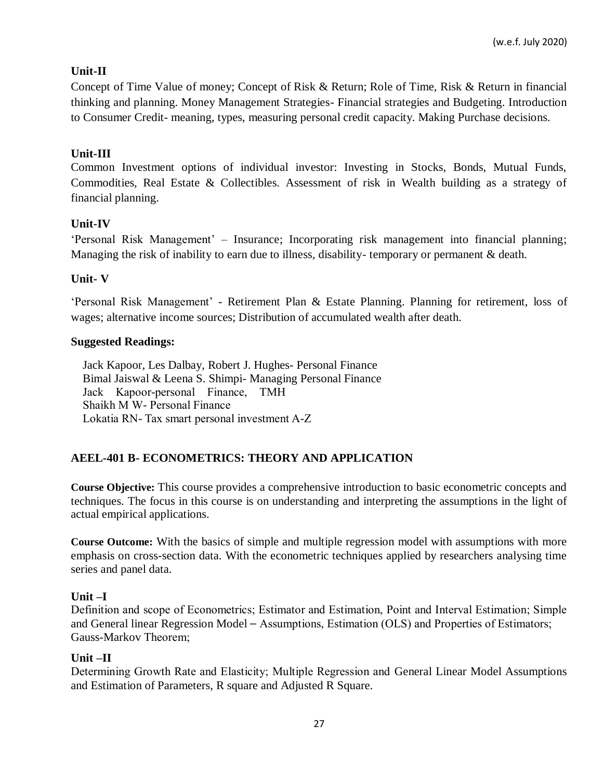## **Unit-II**

Concept of Time Value of money; Concept of Risk & Return; Role of Time, Risk & Return in financial thinking and planning. Money Management Strategies- Financial strategies and Budgeting. Introduction to Consumer Credit- meaning, types, measuring personal credit capacity. Making Purchase decisions.

## **Unit-III**

Common Investment options of individual investor: Investing in Stocks, Bonds, Mutual Funds, Commodities, Real Estate & Collectibles. Assessment of risk in Wealth building as a strategy of financial planning.

## **Unit-IV**

'Personal Risk Management' – Insurance; Incorporating risk management into financial planning; Managing the risk of inability to earn due to illness, disability- temporary or permanent & death.

## **Unit- V**

'Personal Risk Management' - Retirement Plan & Estate Planning. Planning for retirement, loss of wages; alternative income sources; Distribution of accumulated wealth after death.

### **Suggested Readings:**

[Jack Kapoor, Les Dalbay,](https://www.mheducation.co.in/cgi-bin/same_author.pl?author=Jack%2BKapoor) [Robert J. Hughes-](https://www.mheducation.co.in/cgi-bin/same_author.pl?author=Robert%2BJ.%2BHughes) Personal Finance Bimal Jaiswal & Leena S. Shimpi- Managing Personal Finance Jack Kapoor-personal Finance, TMH Shaikh M W- Personal Finance Lokatia RN- Tax smart personal investment A-Z

## **AEEL-401 B- ECONOMETRICS: THEORY AND APPLICATION**

**Course Objective:** This course provides a comprehensive introduction to basic econometric concepts and techniques. The focus in this course is on understanding and interpreting the assumptions in the light of actual empirical applications.

**Course Outcome:** With the basics of simple and multiple regression model with assumptions with more emphasis on cross-section data. With the econometric techniques applied by researchers analysing time series and panel data.

## **Unit –I**

Definition and scope of Econometrics; Estimator and Estimation, Point and Interval Estimation; Simple and General linear Regression Model – Assumptions, Estimation (OLS) and Properties of Estimators; Gauss-Markov Theorem;

### **Unit –II**

Determining Growth Rate and Elasticity; Multiple Regression and General Linear Model Assumptions and Estimation of Parameters, R square and Adjusted R Square.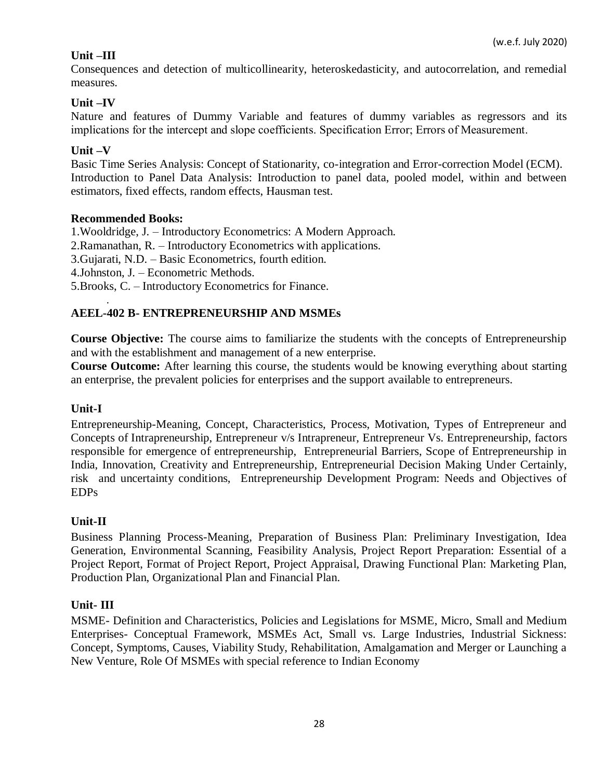## **Unit –III**

Consequences and detection of multicollinearity, heteroskedasticity, and autocorrelation, and remedial measures.

## **Unit –IV**

Nature and features of Dummy Variable and features of dummy variables as regressors and its implications for the intercept and slope coefficients. Specification Error; Errors of Measurement.

## **Unit –V**

Basic Time Series Analysis: Concept of Stationarity, co-integration and Error-correction Model (ECM). Introduction to Panel Data Analysis: Introduction to panel data, pooled model, within and between estimators, fixed effects, random effects, Hausman test.

### **Recommended Books:**

1.Wooldridge, J. – Introductory Econometrics: A Modern Approach.

2.Ramanathan, R. – Introductory Econometrics with applications.

3.Gujarati, N.D. – Basic Econometrics, fourth edition.

4.Johnston, J. – Econometric Methods.

5.Brooks, C. – Introductory Econometrics for Finance.

### . **AEEL-402 B- ENTREPRENEURSHIP AND MSMEs**

**Course Objective:** The course aims to familiarize the students with the concepts of Entrepreneurship and with the establishment and management of a new enterprise.

**Course Outcome:** After learning this course, the students would be knowing everything about starting an enterprise, the prevalent policies for enterprises and the support available to entrepreneurs.

### **Unit-I**

Entrepreneurship-Meaning, Concept, Characteristics, Process, Motivation, Types of Entrepreneur and Concepts of Intrapreneurship, Entrepreneur v/s Intrapreneur, Entrepreneur Vs. Entrepreneurship, factors responsible for emergence of entrepreneurship, Entrepreneurial Barriers, Scope of Entrepreneurship in India, Innovation, Creativity and Entrepreneurship, Entrepreneurial Decision Making Under Certainly, risk and uncertainty conditions, Entrepreneurship Development Program: Needs and Objectives of EDPs

## **Unit-II**

Business Planning Process-Meaning, Preparation of Business Plan: Preliminary Investigation, Idea Generation, Environmental Scanning, Feasibility Analysis, Project Report Preparation: Essential of a Project Report, Format of Project Report, Project Appraisal, Drawing Functional Plan: Marketing Plan, Production Plan, Organizational Plan and Financial Plan.

### **Unit- III**

MSME- Definition and Characteristics, Policies and Legislations for MSME, Micro, Small and Medium Enterprises- Conceptual Framework, MSMEs Act, Small vs. Large Industries, Industrial Sickness: Concept, Symptoms, Causes, Viability Study, Rehabilitation, Amalgamation and Merger or Launching a New Venture, Role Of MSMEs with special reference to Indian Economy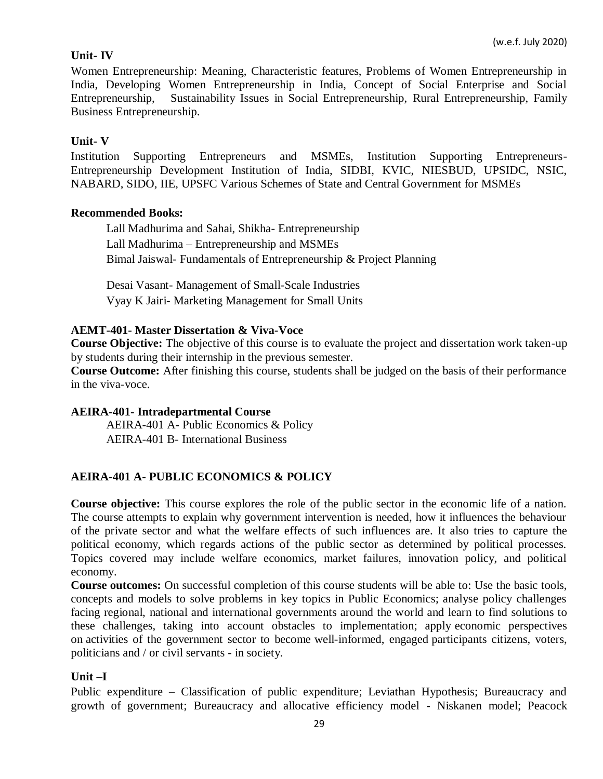## **Unit- IV**

Women Entrepreneurship: Meaning, Characteristic features, Problems of Women Entrepreneurship in India, Developing Women Entrepreneurship in India, Concept of Social Enterprise and Social Entrepreneurship, Sustainability Issues in Social Entrepreneurship, Rural Entrepreneurship, Family Business Entrepreneurship.

### **Unit- V**

Institution Supporting Entrepreneurs and MSMEs, Institution Supporting Entrepreneurs-Entrepreneurship Development Institution of India, SIDBI, KVIC, NIESBUD, UPSIDC, NSIC, NABARD, SIDO, IIE, UPSFC Various Schemes of State and Central Government for MSMEs

### **Recommended Books:**

Lall Madhurima and Sahai, Shikha- Entrepreneurship Lall Madhurima – Entrepreneurship and MSMEs Bimal Jaiswal- Fundamentals of Entrepreneurship & Project Planning

Desai Vasant- Management of Small-Scale Industries Vyay K Jairi- Marketing Management for Small Units

### **AEMT-401- Master Dissertation & Viva-Voce**

**Course Objective:** The objective of this course is to evaluate the project and dissertation work taken-up by students during their internship in the previous semester.

**Course Outcome:** After finishing this course, students shall be judged on the basis of their performance in the viva-voce.

### **AEIRA-401- Intradepartmental Course**

AEIRA-401 A- Public Economics & Policy AEIRA-401 B- International Business

## **AEIRA-401 A- PUBLIC ECONOMICS & POLICY**

**Course objective:** This course explores the role of the public sector in the economic life of a nation. The course attempts to explain why government intervention is needed, how it influences the behaviour of the private sector and what the welfare effects of such influences are. It also tries to capture the political economy, which regards actions of the public sector as determined by political processes. Topics covered may include welfare economics, market failures, innovation policy, and political economy.

**Course outcomes:** On successful completion of this course students will be able to: Use the basic tools, concepts and models to solve problems in key topics in Public Economics; analyse policy challenges facing regional, national and international governments around the world and learn to find solutions to these challenges, taking into account obstacles to implementation; apply economic perspectives on activities of the government sector to become well-informed, engaged participants citizens, voters, politicians and / or civil servants - in society.

### **Unit –I**

Public expenditure – Classification of public expenditure; Leviathan Hypothesis; Bureaucracy and growth of government; Bureaucracy and allocative efficiency model - Niskanen model; Peacock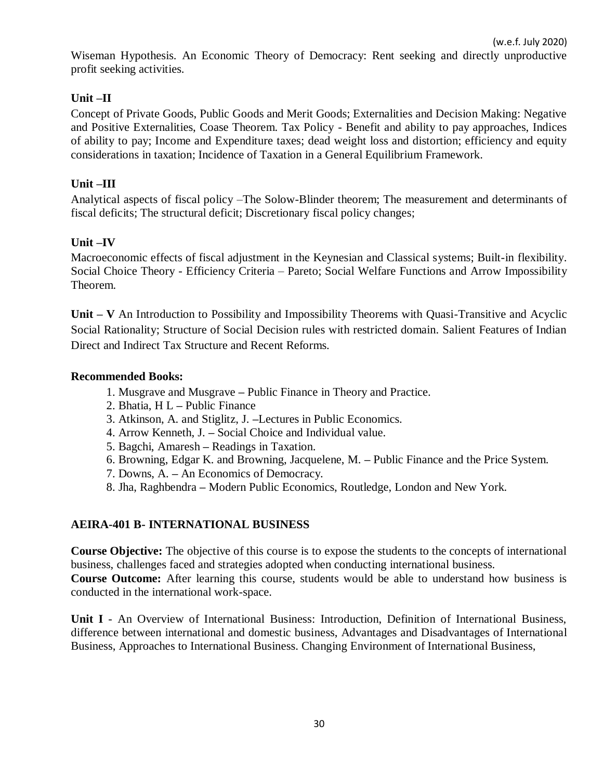Wiseman Hypothesis. An Economic Theory of Democracy: Rent seeking and directly unproductive profit seeking activities.

## **Unit –II**

Concept of Private Goods, Public Goods and Merit Goods; Externalities and Decision Making: Negative and Positive Externalities, Coase Theorem. Tax Policy - Benefit and ability to pay approaches, Indices of ability to pay; Income and Expenditure taxes; dead weight loss and distortion; efficiency and equity considerations in taxation; Incidence of Taxation in a General Equilibrium Framework.

## **Unit –III**

Analytical aspects of fiscal policy –The Solow-Blinder theorem; The measurement and determinants of fiscal deficits; The structural deficit; Discretionary fiscal policy changes;

### **Unit –IV**

Macroeconomic effects of fiscal adjustment in the Keynesian and Classical systems; Built-in flexibility. Social Choice Theory - Efficiency Criteria – Pareto; Social Welfare Functions and Arrow Impossibility Theorem.

**Unit – V** An Introduction to Possibility and Impossibility Theorems with Quasi-Transitive and Acyclic Social Rationality; Structure of Social Decision rules with restricted domain. Salient Features of Indian Direct and Indirect Tax Structure and Recent Reforms.

### **Recommended Books:**

- 1. Musgrave and Musgrave **–** Public Finance in Theory and Practice.
- 2. Bhatia, H L **–** Public Finance
- 3. Atkinson, A. and Stiglitz, J. **–**Lectures in Public Economics.
- 4. Arrow Kenneth, J. **–** Social Choice and Individual value.
- 5. Bagchi, Amaresh **–** Readings in Taxation.
- 6. Browning, Edgar K. and Browning, Jacquelene, M. **–** Public Finance and the Price System.
- 7. Downs, A. **–** An Economics of Democracy.
- 8. Jha, Raghbendra **–** Modern Public Economics, Routledge, London and New York.

## **AEIRA-401 B- INTERNATIONAL BUSINESS**

**Course Objective:** The objective of this course is to expose the students to the concepts of international business, challenges faced and strategies adopted when conducting international business. **Course Outcome:** After learning this course, students would be able to understand how business is conducted in the international work-space.

**Unit I** - An Overview of International Business: Introduction, Definition of International Business, difference between international and domestic business, Advantages and Disadvantages of International Business, Approaches to International Business. Changing Environment of International Business,